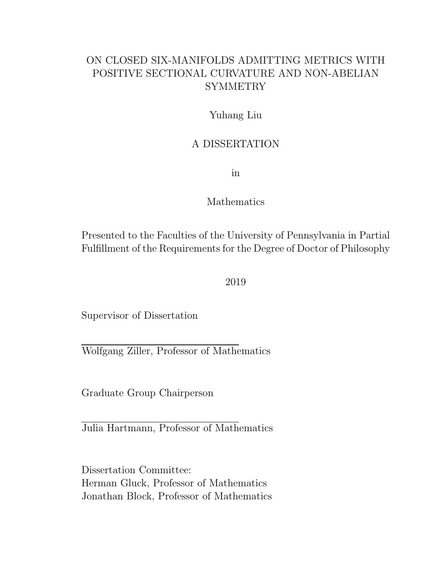#### ON CLOSED SIX-MANIFOLDS ADMITTING METRICS WITH POSITIVE SECTIONAL CURVATURE AND NON-ABELIAN **SYMMETRY**

#### Yuhang Liu

#### A DISSERTATION

in

#### Mathematics

Presented to the Faculties of the University of Pennsylvania in Partial Fulfillment of the Requirements for the Degree of Doctor of Philosophy

2019

Supervisor of Dissertation

Wolfgang Ziller, Professor of Mathematics

Graduate Group Chairperson

Julia Hartmann, Professor of Mathematics

Dissertation Committee: Herman Gluck, Professor of Mathematics Jonathan Block, Professor of Mathematics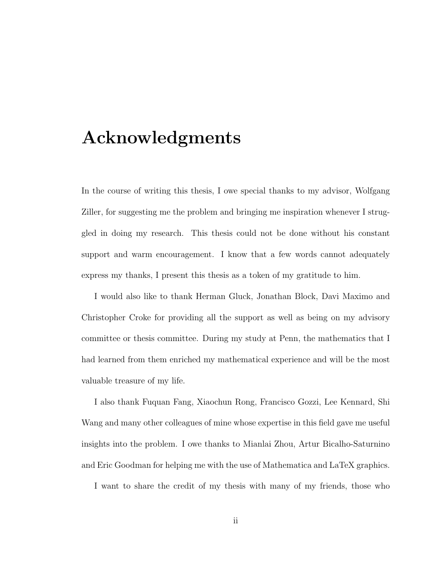## Acknowledgments

In the course of writing this thesis, I owe special thanks to my advisor, Wolfgang Ziller, for suggesting me the problem and bringing me inspiration whenever I struggled in doing my research. This thesis could not be done without his constant support and warm encouragement. I know that a few words cannot adequately express my thanks, I present this thesis as a token of my gratitude to him.

I would also like to thank Herman Gluck, Jonathan Block, Davi Maximo and Christopher Croke for providing all the support as well as being on my advisory committee or thesis committee. During my study at Penn, the mathematics that I had learned from them enriched my mathematical experience and will be the most valuable treasure of my life.

I also thank Fuquan Fang, Xiaochun Rong, Francisco Gozzi, Lee Kennard, Shi Wang and many other colleagues of mine whose expertise in this field gave me useful insights into the problem. I owe thanks to Mianlai Zhou, Artur Bicalho-Saturnino and Eric Goodman for helping me with the use of Mathematica and LaTeX graphics.

I want to share the credit of my thesis with many of my friends, those who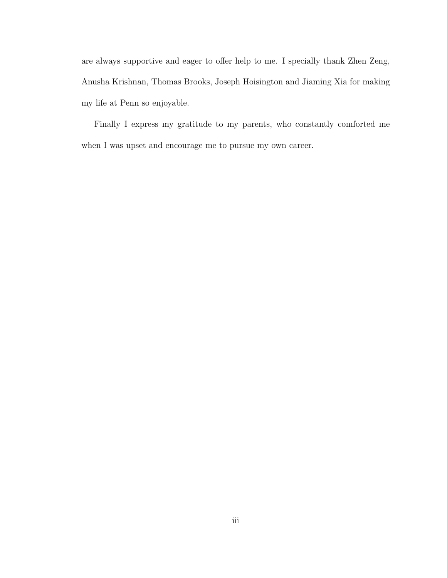are always supportive and eager to offer help to me. I specially thank Zhen Zeng, Anusha Krishnan, Thomas Brooks, Joseph Hoisington and Jiaming Xia for making my life at Penn so enjoyable.

Finally I express my gratitude to my parents, who constantly comforted me when I was upset and encourage me to pursue my own career.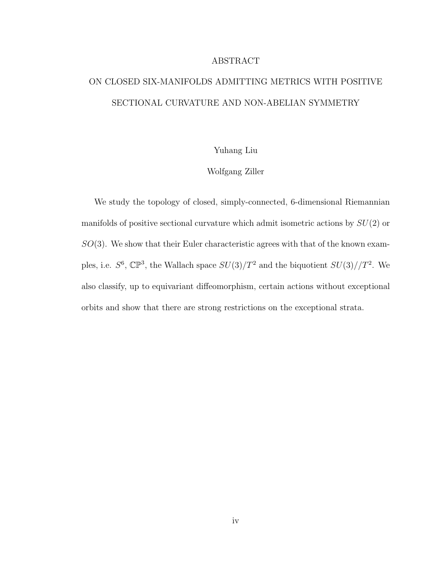#### ABSTRACT

#### ON CLOSED SIX-MANIFOLDS ADMITTING METRICS WITH POSITIVE SECTIONAL CURVATURE AND NON-ABELIAN SYMMETRY

#### Yuhang Liu

#### Wolfgang Ziller

We study the topology of closed, simply-connected, 6-dimensional Riemannian manifolds of positive sectional curvature which admit isometric actions by  $SU(2)$  or  $SO(3)$ . We show that their Euler characteristic agrees with that of the known examples, i.e.  $S^6$ ,  $\mathbb{CP}^3$ , the Wallach space  $SU(3)/T^2$  and the biquotient  $SU(3)/T^2$ . We also classify, up to equivariant diffeomorphism, certain actions without exceptional orbits and show that there are strong restrictions on the exceptional strata.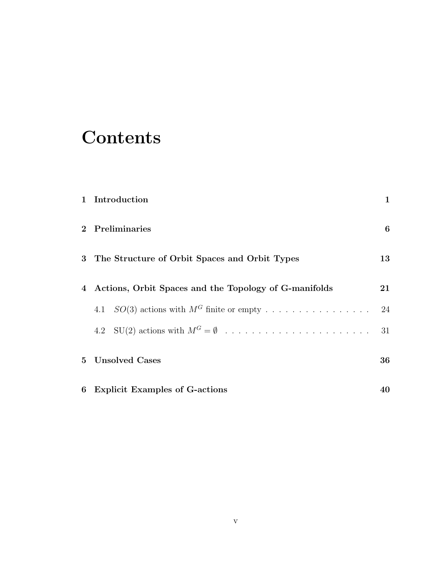# **Contents**

| 1 Introduction                                          | $\mathbf{1}$ |
|---------------------------------------------------------|--------------|
| 2 Preliminaries                                         | 6            |
| 3 The Structure of Orbit Spaces and Orbit Types         | 13           |
| 4 Actions, Orbit Spaces and the Topology of G-manifolds | $21\,$       |
| 4.1 $SO(3)$ actions with $M^G$ finite or empty          | 24           |
|                                                         | 31           |
| 5 Unsolved Cases                                        | 36           |
| 6 Explicit Examples of G-actions                        | 40           |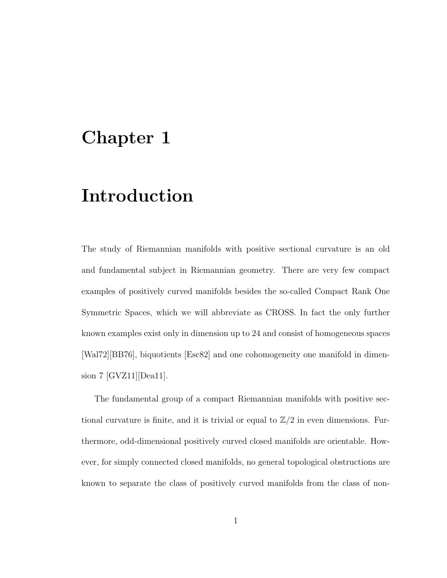## Chapter 1

## Introduction

The study of Riemannian manifolds with positive sectional curvature is an old and fundamental subject in Riemannian geometry. There are very few compact examples of positively curved manifolds besides the so-called Compact Rank One Symmetric Spaces, which we will abbreviate as CROSS. In fact the only further known examples exist only in dimension up to 24 and consist of homogeneous spaces [Wal72][BB76], biquotients [Esc82] and one cohomogeneity one manifold in dimension 7 [GVZ11][Dea11].

The fundamental group of a compact Riemannian manifolds with positive sectional curvature is finite, and it is trivial or equal to  $\mathbb{Z}/2$  in even dimensions. Furthermore, odd-dimensional positively curved closed manifolds are orientable. However, for simply connected closed manifolds, no general topological obstructions are known to separate the class of positively curved manifolds from the class of non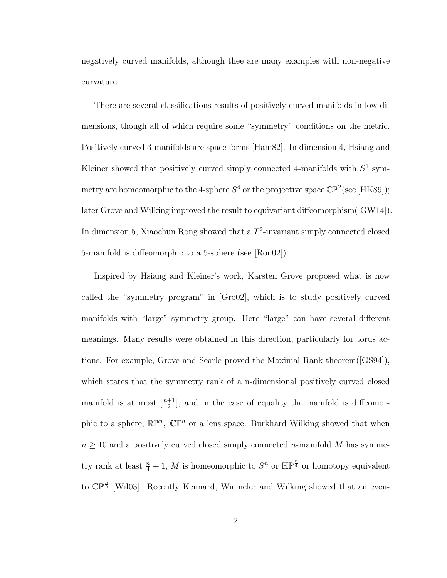negatively curved manifolds, although thee are many examples with non-negative curvature.

There are several classifications results of positively curved manifolds in low dimensions, though all of which require some "symmetry" conditions on the metric. Positively curved 3-manifolds are space forms [Ham82]. In dimension 4, Hsiang and Kleiner showed that positively curved simply connected 4-manifolds with  $S<sup>1</sup>$  symmetry are homeomorphic to the 4-sphere  $S^4$  or the projective space  $\mathbb{CP}^2$  (see [HK89]); later Grove and Wilking improved the result to equivariant diffeomorphism([GW14]). In dimension 5, Xiaochun Rong showed that a  $T^2$ -invariant simply connected closed 5-manifold is diffeomorphic to a 5-sphere (see [Ron02]).

Inspired by Hsiang and Kleiner's work, Karsten Grove proposed what is now called the "symmetry program" in [Gro02], which is to study positively curved manifolds with "large" symmetry group. Here "large" can have several different meanings. Many results were obtained in this direction, particularly for torus actions. For example, Grove and Searle proved the Maximal Rank theorem([GS94]), which states that the symmetry rank of a n-dimensional positively curved closed manifold is at most  $\left[\frac{n+1}{2}\right]$ , and in the case of equality the manifold is diffeomorphic to a sphere,  $\mathbb{RP}^n$ ,  $\mathbb{CP}^n$  or a lens space. Burkhard Wilking showed that when  $n \geq 10$  and a positively curved closed simply connected *n*-manifold M has symmetry rank at least  $\frac{n}{4} + 1$ , M is homeomorphic to  $S<sup>n</sup>$  or  $\mathbb{HP}^{\frac{n}{4}}$  or homotopy equivalent to  $\mathbb{CP}^{\frac{n}{2}}$  [Wil03]. Recently Kennard, Wiemeler and Wilking showed that an even-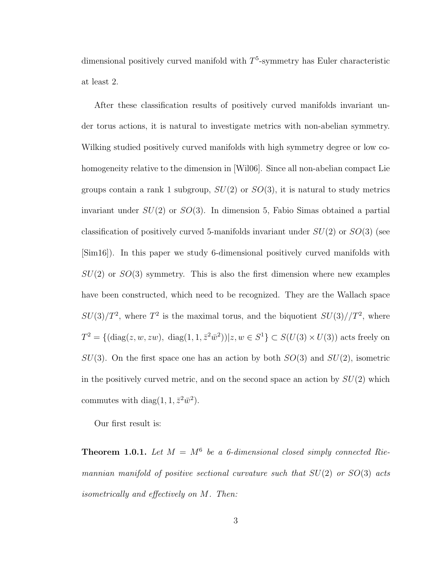dimensional positively curved manifold with  $T<sup>5</sup>$ -symmetry has Euler characteristic at least 2.

After these classification results of positively curved manifolds invariant under torus actions, it is natural to investigate metrics with non-abelian symmetry. Wilking studied positively curved manifolds with high symmetry degree or low cohomogeneity relative to the dimension in [Wil06]. Since all non-abelian compact Lie groups contain a rank 1 subgroup,  $SU(2)$  or  $SO(3)$ , it is natural to study metrics invariant under  $SU(2)$  or  $SO(3)$ . In dimension 5, Fabio Simas obtained a partial classification of positively curved 5-manifolds invariant under  $SU(2)$  or  $SO(3)$  (see [Sim16]). In this paper we study 6-dimensional positively curved manifolds with  $SU(2)$  or  $SO(3)$  symmetry. This is also the first dimension where new examples have been constructed, which need to be recognized. They are the Wallach space  $SU(3)/T^2$ , where  $T^2$  is the maximal torus, and the biquotient  $SU(3)/T^2$ , where  $T^2 = \{(\text{diag}(z, w, zw), \text{ diag}(1, 1, \bar{z}^2\bar{w}^2)) | z, w \in S^1\} \subset S(U(3) \times U(3))$  acts freely on  $SU(3)$ . On the first space one has an action by both  $SO(3)$  and  $SU(2)$ , isometric in the positively curved metric, and on the second space an action by  $SU(2)$  which commutes with diag(1, 1,  $\bar{z}^2\bar{w}^2$ ).

Our first result is:

**Theorem 1.0.1.** Let  $M = M^6$  be a 6-dimensional closed simply connected Riemannian manifold of positive sectional curvature such that  $SU(2)$  or  $SO(3)$  acts isometrically and effectively on M. Then: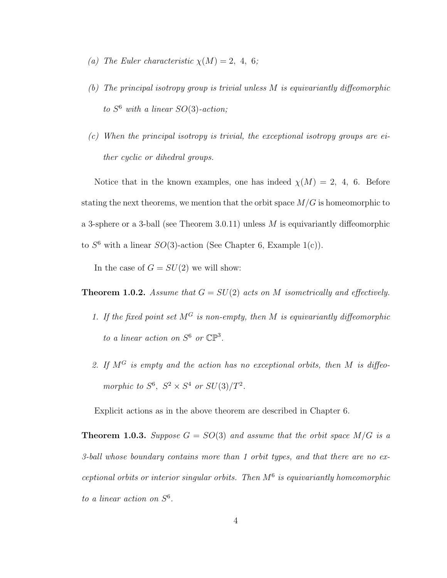- (a) The Euler characteristic  $\chi(M) = 2, 4, 6;$
- (b) The principal isotropy group is trivial unless M is equivariantly diffeomorphic to  $S^6$  with a linear  $SO(3)$ -action;
- $(c)$  When the principal isotropy is trivial, the exceptional isotropy groups are either cyclic or dihedral groups.

Notice that in the known examples, one has indeed  $\chi(M) = 2, 4, 6$ . Before stating the next theorems, we mention that the orbit space  $M/G$  is homeomorphic to a 3-sphere or a 3-ball (see Theorem 3.0.11) unless  $M$  is equivariantly diffeomorphic to  $S^6$  with a linear  $SO(3)$ -action (See Chapter 6, Example 1(c)).

In the case of  $G = SU(2)$  we will show:

**Theorem 1.0.2.** Assume that  $G = SU(2)$  acts on M isometrically and effectively.

- 1. If the fixed point set  $M^G$  is non-empty, then M is equivariantly diffeomorphic to a linear action on  $S^6$  or  $\mathbb{CP}^3$ .
- 2. If  $M^G$  is empty and the action has no exceptional orbits, then M is diffeomorphic to  $S^6$ ,  $S^2 \times S^4$  or  $SU(3)/T^2$ .

Explicit actions as in the above theorem are described in Chapter 6.

**Theorem 1.0.3.** Suppose  $G = SO(3)$  and assume that the orbit space  $M/G$  is a 3-ball whose boundary contains more than 1 orbit types, and that there are no exceptional orbits or interior singular orbits. Then  $M<sup>6</sup>$  is equivariantly homeomorphic to a linear action on  $S^6$ .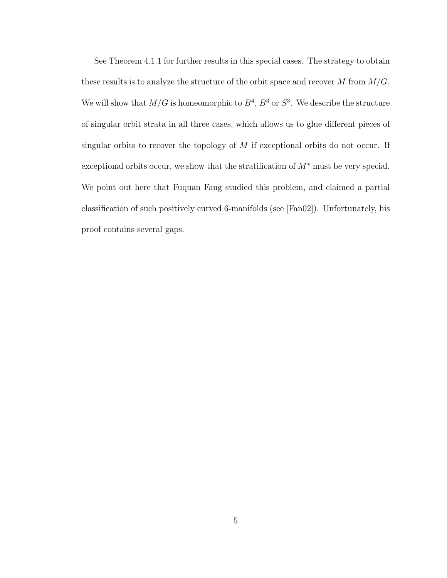See Theorem 4.1.1 for further results in this special cases. The strategy to obtain these results is to analyze the structure of the orbit space and recover  $M$  from  $M/G$ . We will show that  $M/G$  is homeomorphic to  $B^4$ ,  $B^3$  or  $S^3$ . We describe the structure of singular orbit strata in all three cases, which allows us to glue different pieces of singular orbits to recover the topology of  $M$  if exceptional orbits do not occur. If exceptional orbits occur, we show that the stratification of  $M^*$  must be very special. We point out here that Fuquan Fang studied this problem, and claimed a partial classification of such positively curved 6-manifolds (see [Fan02]). Unfortunately, his proof contains several gaps.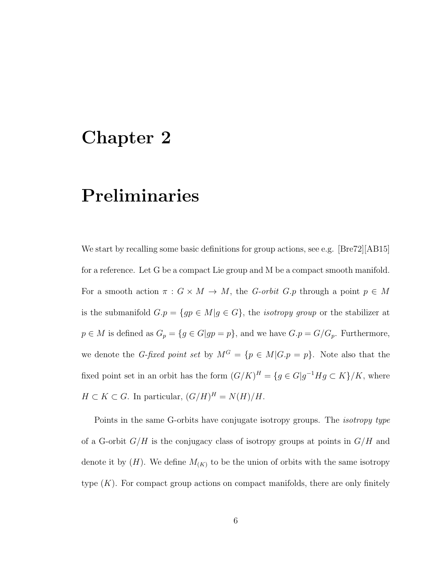#### Chapter 2

## Preliminaries

We start by recalling some basic definitions for group actions, see e.g. [Bre72][AB15] for a reference. Let G be a compact Lie group and M be a compact smooth manifold. For a smooth action  $\pi : G \times M \to M$ , the G-orbit G.p through a point  $p \in M$ is the submanifold  $G.p = \{gp \in M | g \in G\}$ , the *isotropy group* or the stabilizer at  $p \in M$  is defined as  $G_p = \{g \in G | gp = p\}$ , and we have  $G.p = G/G_p$ . Furthermore, we denote the G-fixed point set by  $M^G = \{p \in M | G.p = p\}$ . Note also that the fixed point set in an orbit has the form  $(G/K)^H = \{g \in G | g^{-1}Hg \subset K\}/K$ , where  $H \subset K \subset G$ . In particular,  $(G/H)^H = N(H)/H$ .

Points in the same G-orbits have conjugate isotropy groups. The isotropy type of a G-orbit  $G/H$  is the conjugacy class of isotropy groups at points in  $G/H$  and denote it by  $(H)$ . We define  $M_{(K)}$  to be the union of orbits with the same isotropy type  $(K)$ . For compact group actions on compact manifolds, there are only finitely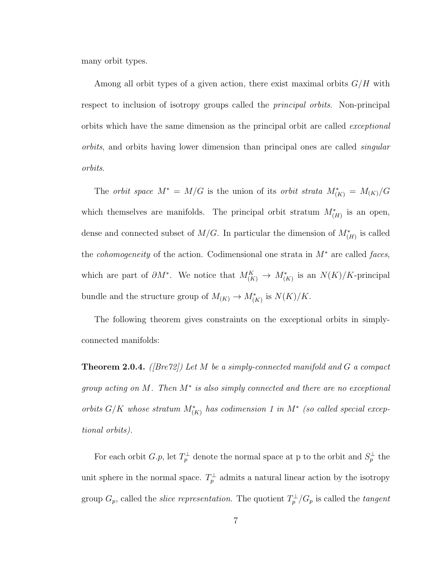many orbit types.

Among all orbit types of a given action, there exist maximal orbits  $G/H$  with respect to inclusion of isotropy groups called the principal orbits. Non-principal orbits which have the same dimension as the principal orbit are called exceptional orbits, and orbits having lower dimension than principal ones are called singular orbits.

The *orbit space*  $M^* = M/G$  is the union of its *orbit strata*  $M^*_{(K)} = M_{(K)}/G$ which themselves are manifolds. The principal orbit stratum  $M^*_{(H)}$  is an open, dense and connected subset of  $M/G$ . In particular the dimension of  $M^*_{(H)}$  is called the *cohomogeneity* of the action. Codimensional one strata in  $M^*$  are called faces, which are part of  $\partial M^*$ . We notice that  $M_{(K)}^K \to M_{(K)}^*$  is an  $N(K)/K$ -principal bundle and the structure group of  $M_{(K)} \to M_{(K)}^*$  is  $N(K)/K$ .

The following theorem gives constraints on the exceptional orbits in simplyconnected manifolds:

**Theorem 2.0.4.** ([Bre72]) Let M be a simply-connected manifold and G a compact group acting on  $M$ . Then  $M^*$  is also simply connected and there are no exceptional orbits  $G/K$  whose stratum  $M^*_{(K)}$  has codimension 1 in  $M^*$  (so called special exceptional orbits).

For each orbit  $G.p$ , let  $T_p^{\perp}$  denote the normal space at p to the orbit and  $S_p^{\perp}$  the unit sphere in the normal space.  $T_p^{\perp}$  admits a natural linear action by the isotropy group  $G_p$ , called the *slice representation*. The quotient  $T_p^{\perp}/G_p$  is called the *tangent*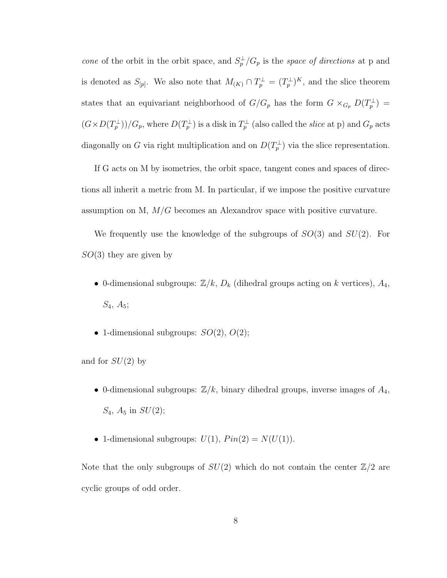cone of the orbit in the orbit space, and  $S_p^{\perp}/G_p$  is the space of directions at p and is denoted as  $S_{[p]}$ . We also note that  $M_{(K)} \cap T_p^{\perp} = (T_p^{\perp})^K$ , and the slice theorem states that an equivariant neighborhood of  $G/G_p$  has the form  $G \times_{G_p} D(T_p^{\perp}) =$  $((G \times D(T_p^{\perp})) / G_p$ , where  $D(T_p^{\perp})$  is a disk in  $T_p^{\perp}$  (also called the *slice* at p) and  $G_p$  acts diagonally on G via right multiplication and on  $D(T_p^{\perp})$  via the slice representation.

If G acts on M by isometries, the orbit space, tangent cones and spaces of directions all inherit a metric from M. In particular, if we impose the positive curvature assumption on M,  $M/G$  becomes an Alexandrov space with positive curvature.

We frequently use the knowledge of the subgroups of  $SO(3)$  and  $SU(2)$ . For  $SO(3)$  they are given by

- 0-dimensional subgroups:  $\mathbb{Z}/k$ ,  $D_k$  (dihedral groups acting on k vertices),  $A_4$ ,  $S_4, A_5;$
- 1-dimensional subgroups:  $SO(2)$ ,  $O(2)$ ;

and for  $SU(2)$  by

- 0-dimensional subgroups:  $\mathbb{Z}/k$ , binary dihedral groups, inverse images of  $A_4$ ,  $S_4$ ,  $A_5$  in  $SU(2)$ ;
- 1-dimensional subgroups:  $U(1)$ ,  $Pin(2) = N(U(1))$ .

Note that the only subgroups of  $SU(2)$  which do not contain the center  $\mathbb{Z}/2$  are cyclic groups of odd order.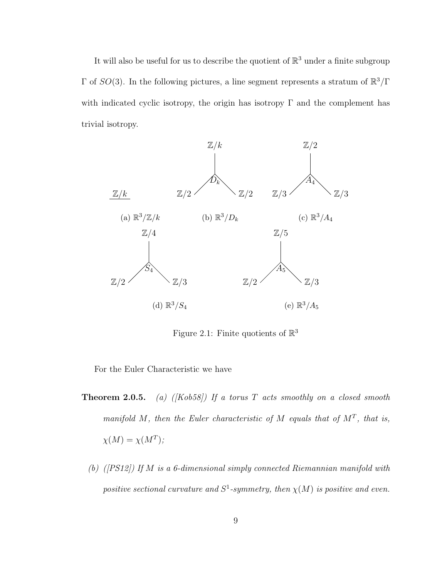It will also be useful for us to describe the quotient of  $\mathbb{R}^3$  under a finite subgroup Γ of  $SO(3)$ . In the following pictures, a line segment represents a stratum of  $\mathbb{R}^3/\Gamma$ with indicated cyclic isotropy, the origin has isotropy  $\Gamma$  and the complement has trivial isotropy.



Figure 2.1: Finite quotients of  $\mathbb{R}^3$ 

For the Euler Characteristic we have

- **Theorem 2.0.5.** (a) ( $[Kob58]$ ) If a torus T acts smoothly on a closed smooth manifold M, then the Euler characteristic of M equals that of  $M<sup>T</sup>$ , that is,  $\chi(M) = \chi(M^T);$ 
	- (b) ([PS12]) If M is a 6-dimensional simply connected Riemannian manifold with positive sectional curvature and  $S^1$ -symmetry, then  $\chi(M)$  is positive and even.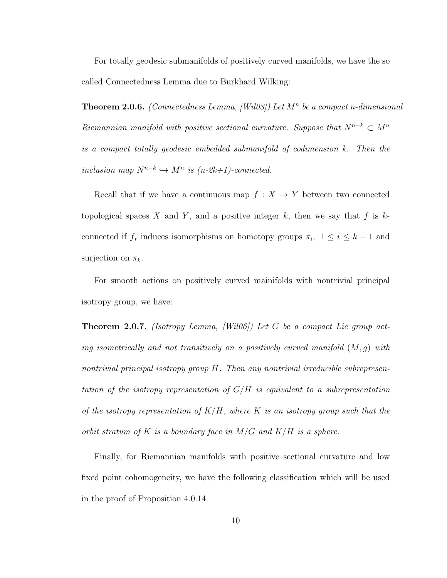For totally geodesic submanifolds of positively curved manifolds, we have the so called Connectedness Lemma due to Burkhard Wilking:

**Theorem 2.0.6.** (Connectedness Lemma, [Wil03]) Let  $M<sup>n</sup>$  be a compact n-dimensional Riemannian manifold with positive sectional curvature. Suppose that  $N^{n-k} \subset M^n$ is a compact totally geodesic embedded submanifold of codimension k. Then the inclusion map  $N^{n-k} \hookrightarrow M^n$  is  $(n-2k+1)$ -connected.

Recall that if we have a continuous map  $f: X \to Y$  between two connected topological spaces X and Y, and a positive integer  $k$ , then we say that f is  $k$ connected if  $f_*$  induces isomorphisms on homotopy groups  $\pi_i$ ,  $1 \leq i \leq k-1$  and surjection on  $\pi_k$ .

For smooth actions on positively curved mainifolds with nontrivial principal isotropy group, we have:

**Theorem 2.0.7.** (Isotropy Lemma, *[Wil06]*) Let G be a compact Lie group acting isometrically and not transitively on a positively curved manifold  $(M, g)$  with nontrivial principal isotropy group H. Then any nontrivial irreducible subrepresentation of the isotropy representation of  $G/H$  is equivalent to a subrepresentation of the isotropy representation of  $K/H$ , where K is an isotropy group such that the orbit stratum of K is a boundary face in  $M/G$  and  $K/H$  is a sphere.

Finally, for Riemannian manifolds with positive sectional curvature and low fixed point cohomogeneity, we have the following classification which will be used in the proof of Proposition 4.0.14.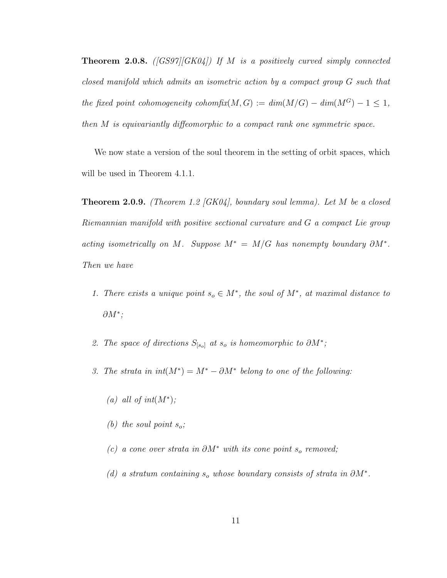**Theorem 2.0.8.** ([GS97][GK04]) If M is a positively curved simply connected closed manifold which admits an isometric action by a compact group G such that the fixed point cohomogeneity cohomfix(M, G) :=  $dim(M/G) - dim(M^G) - 1 \leq 1$ , then M is equivariantly diffeomorphic to a compact rank one symmetric space.

We now state a version of the soul theorem in the setting of orbit spaces, which will be used in Theorem 4.1.1.

**Theorem 2.0.9.** (Theorem 1.2 [GK04], boundary soul lemma). Let M be a closed Riemannian manifold with positive sectional curvature and G a compact Lie group acting isometrically on M. Suppose  $M^* = M/G$  has nonempty boundary  $\partial M^*$ . Then we have

- 1. There exists a unique point  $s_o \in M^*$ , the soul of  $M^*$ , at maximal distance to  $\partial M^*;$
- 2. The space of directions  $S_{[s_o]}$  at  $s_o$  is homeomorphic to  $\partial M^*$ ;
- 3. The strata in  $int(M^*) = M^* \partial M^*$  belong to one of the following:
	- (a) all of  $int(M^*)$ ;
	- (b) the soul point  $s_o$ ;
	- (c) a cone over strata in  $\partial M^*$  with its cone point s<sub>o</sub> removed;
	- (d) a stratum containing  $s_o$  whose boundary consists of strata in  $\partial M^*$ .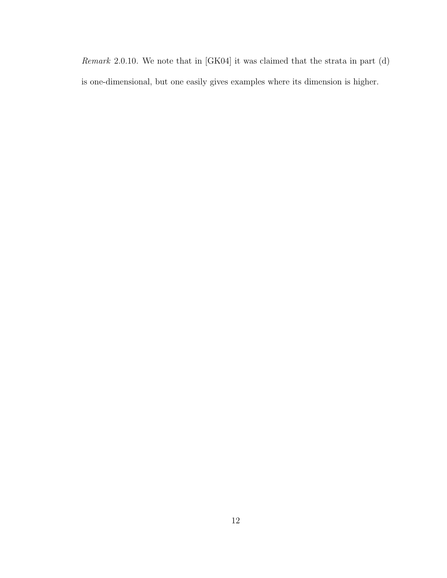Remark 2.0.10. We note that in [GK04] it was claimed that the strata in part (d) is one-dimensional, but one easily gives examples where its dimension is higher.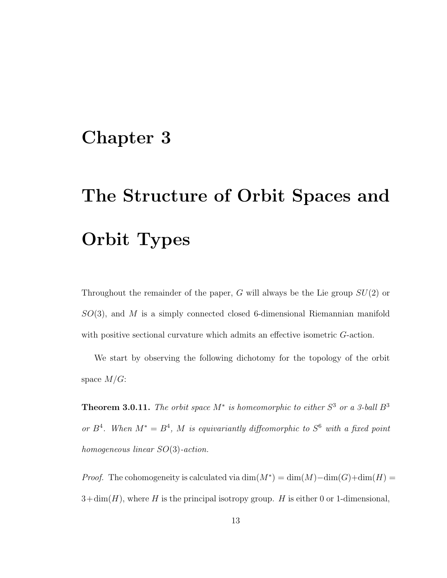## Chapter 3

# The Structure of Orbit Spaces and Orbit Types

Throughout the remainder of the paper, G will always be the Lie group  $SU(2)$  or  $SO(3)$ , and M is a simply connected closed 6-dimensional Riemannian manifold with positive sectional curvature which admits an effective isometric G-action.

We start by observing the following dichotomy for the topology of the orbit space  $M/G$ :

**Theorem 3.0.11.** The orbit space  $M^*$  is homeomorphic to either  $S^3$  or a 3-ball  $B^3$ or  $B^4$ . When  $M^* = B^4$ , M is equivariantly diffeomorphic to  $S^6$  with a fixed point homogeneous linear SO(3)-action.

*Proof.* The cohomogeneity is calculated via  $\dim(M^*) = \dim(M) - \dim(G) + \dim(H) =$  $3+\dim(H)$ , where H is the principal isotropy group. H is either 0 or 1-dimensional,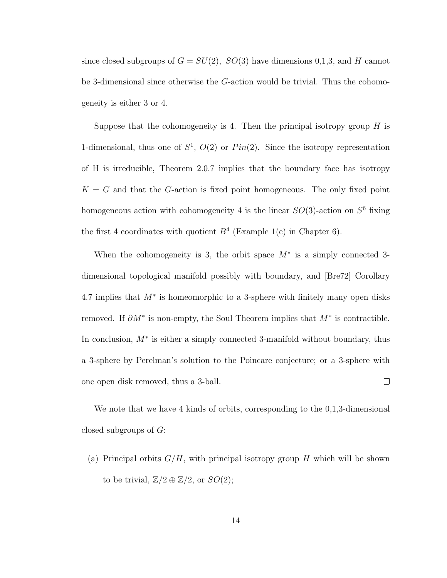since closed subgroups of  $G = SU(2)$ ,  $SO(3)$  have dimensions 0,1,3, and H cannot be 3-dimensional since otherwise the G-action would be trivial. Thus the cohomogeneity is either 3 or 4.

Suppose that the cohomogeneity is 4. Then the principal isotropy group  $H$  is 1-dimensional, thus one of  $S^1$ ,  $O(2)$  or  $Pin(2)$ . Since the isotropy representation of H is irreducible, Theorem 2.0.7 implies that the boundary face has isotropy  $K = G$  and that the G-action is fixed point homogeneous. The only fixed point homogeneous action with cohomogeneity 4 is the linear  $SO(3)$ -action on  $S^6$  fixing the first 4 coordinates with quotient  $B<sup>4</sup>$  (Example 1(c) in Chapter 6).

When the cohomogeneity is 3, the orbit space  $M^*$  is a simply connected 3dimensional topological manifold possibly with boundary, and [Bre72] Corollary 4.7 implies that  $M^*$  is homeomorphic to a 3-sphere with finitely many open disks removed. If  $\partial M^*$  is non-empty, the Soul Theorem implies that  $M^*$  is contractible. In conclusion, M<sup>∗</sup> is either a simply connected 3-manifold without boundary, thus a 3-sphere by Perelman's solution to the Poincare conjecture; or a 3-sphere with one open disk removed, thus a 3-ball.  $\Box$ 

We note that we have 4 kinds of orbits, corresponding to the 0,1,3-dimensional closed subgroups of G:

(a) Principal orbits  $G/H$ , with principal isotropy group H which will be shown to be trivial,  $\mathbb{Z}/2 \oplus \mathbb{Z}/2$ , or  $SO(2)$ ;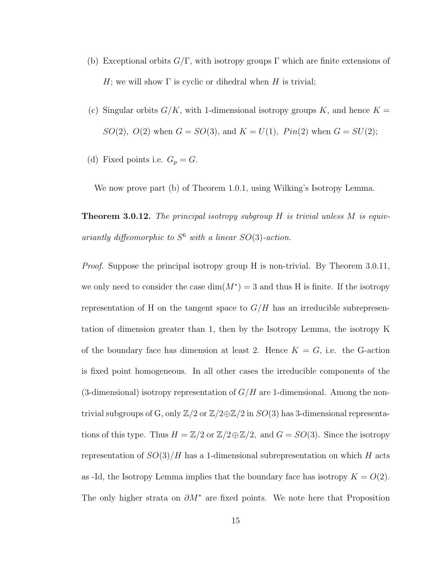- (b) Exceptional orbits  $G/\Gamma$ , with isotropy groups  $\Gamma$  which are finite extensions of H; we will show  $\Gamma$  is cyclic or dihedral when H is trivial;
- (c) Singular orbits  $G/K$ , with 1-dimensional isotropy groups K, and hence  $K =$  $SO(2), O(2)$  when  $G = SO(3)$ , and  $K = U(1), Pin(2)$  when  $G = SU(2)$ ;
- (d) Fixed points i.e.  $G_p = G$ .

We now prove part (b) of Theorem 1.0.1, using Wilking's Isotropy Lemma.

**Theorem 3.0.12.** The principal isotropy subgroup  $H$  is trivial unless  $M$  is equivariantly diffeomorphic to  $S^6$  with a linear  $SO(3)$ -action.

*Proof.* Suppose the principal isotropy group H is non-trivial. By Theorem 3.0.11, we only need to consider the case  $\dim(M^*)=3$  and thus H is finite. If the isotropy representation of H on the tangent space to  $G/H$  has an irreducible subrepresentation of dimension greater than 1, then by the Isotropy Lemma, the isotropy K of the boundary face has dimension at least 2. Hence  $K = G$ , i.e. the G-action is fixed point homogeneous. In all other cases the irreducible components of the (3-dimensional) isotropy representation of  $G/H$  are 1-dimensional. Among the nontrivial subgroups of G, only  $\mathbb{Z}/2$  or  $\mathbb{Z}/2 \oplus \mathbb{Z}/2$  in  $SO(3)$  has 3-dimensional representations of this type. Thus  $H = \mathbb{Z}/2$  or  $\mathbb{Z}/2 \oplus \mathbb{Z}/2$ , and  $G = SO(3)$ . Since the isotropy representation of  $SO(3)/H$  has a 1-dimensional subrepresentation on which H acts as -Id, the Isotropy Lemma implies that the boundary face has isotropy  $K = O(2)$ . The only higher strata on  $\partial M^*$  are fixed points. We note here that Proposition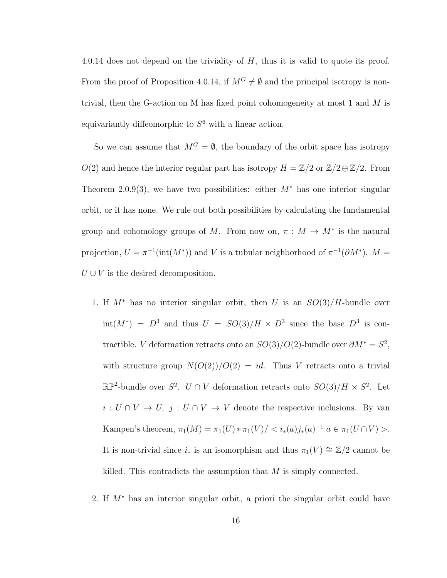4.0.14 does not depend on the triviality of  $H$ , thus it is valid to quote its proof. From the proof of Proposition 4.0.14, if  $M^G \neq \emptyset$  and the principal isotropy is nontrivial, then the G-action on M has fixed point cohomogeneity at most 1 and M is equivariantly diffeomorphic to  $S^6$  with a linear action.

So we can assume that  $M^G = \emptyset$ , the boundary of the orbit space has isotropy  $O(2)$  and hence the interior regular part has isotropy  $H = \mathbb{Z}/2$  or  $\mathbb{Z}/2 \oplus \mathbb{Z}/2$ . From Theorem 2.0.9(3), we have two possibilities: either  $M^*$  has one interior singular orbit, or it has none. We rule out both possibilities by calculating the fundamental group and cohomology groups of M. From now on,  $\pi : M \to M^*$  is the natural projection,  $U = \pi^{-1}(\text{int}(M^*))$  and V is a tubular neighborhood of  $\pi^{-1}(\partial M^*)$ .  $M =$  $U \cup V$  is the desired decomposition.

- 1. If  $M^*$  has no interior singular orbit, then U is an  $SO(3)/H$ -bundle over  $\text{int}(M^*) = D^3$  and thus  $U = SO(3)/H \times D^3$  since the base  $D^3$  is contractible. *V* deformation retracts onto an  $SO(3)/O(2)$ -bundle over  $\partial M^* = S^2$ , with structure group  $N(O(2))/O(2) = id$ . Thus V retracts onto a trivial  $\mathbb{RP}^2$ -bundle over S<sup>2</sup>. U ∩ V deformation retracts onto  $SO(3)/H \times S^2$ . Let  $i: U \cap V \to U$ ,  $j: U \cap V \to V$  denote the respective inclusions. By van Kampen's theorem,  $\pi_1(M) = \pi_1(U) * \pi_1(V) / \langle i_*(a) j_*(a)^{-1} | a \in \pi_1(U \cap V) \rangle$ . It is non-trivial since  $i_*$  is an isomorphism and thus  $\pi_1(V) \cong \mathbb{Z}/2$  cannot be killed. This contradicts the assumption that  $M$  is simply connected.
- 2. If  $M^*$  has an interior singular orbit, a priori the singular orbit could have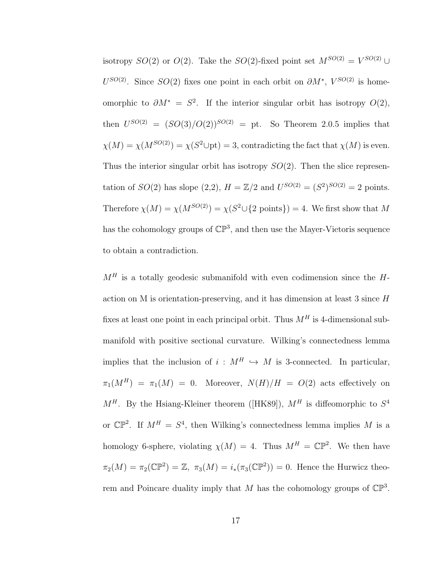isotropy  $SO(2)$  or  $O(2)$ . Take the  $SO(2)$ -fixed point set  $M^{SO(2)} = V^{SO(2)} \cup$  $U^{SO(2)}$ . Since  $SO(2)$  fixes one point in each orbit on  $\partial M^*$ ,  $V^{SO(2)}$  is homeomorphic to  $\partial M^* = S^2$ . If the interior singular orbit has isotropy  $O(2)$ , then  $U^{SO(2)} = (SO(3)/O(2))^{SO(2)} =$  pt. So Theorem 2.0.5 implies that  $\chi(M) = \chi(M^{SO(2)}) = \chi(S^2 \cup pt) = 3$ , contradicting the fact that  $\chi(M)$  is even. Thus the interior singular orbit has isotropy  $SO(2)$ . Then the slice representation of  $SO(2)$  has slope  $(2,2)$ ,  $H = \mathbb{Z}/2$  and  $U^{SO(2)} = (S^2)^{SO(2)} = 2$  points. Therefore  $\chi(M) = \chi(M^{SO(2)}) = \chi(S^2 \cup \{2 \text{ points}\}) = 4$ . We first show that M has the cohomology groups of  $\mathbb{CP}^3$ , and then use the Mayer-Vietoris sequence to obtain a contradiction.

 $M<sup>H</sup>$  is a totally geodesic submanifold with even codimension since the  $H$ action on M is orientation-preserving, and it has dimension at least 3 since  $H$ fixes at least one point in each principal orbit. Thus  $M<sup>H</sup>$  is 4-dimensional submanifold with positive sectional curvature. Wilking's connectedness lemma implies that the inclusion of  $i : M^H \hookrightarrow M$  is 3-connected. In particular,  $\pi_1(M^H) = \pi_1(M) = 0$ . Moreover,  $N(H)/H = O(2)$  acts effectively on  $M^H$ . By the Hsiang-Kleiner theorem ([HK89]),  $M^H$  is diffeomorphic to  $S^4$ or  $\mathbb{CP}^2$ . If  $M^H = S^4$ , then Wilking's connectedness lemma implies M is a homology 6-sphere, violating  $\chi(M) = 4$ . Thus  $M^H = \mathbb{CP}^2$ . We then have  $\pi_2(M) = \pi_2(\mathbb{CP}^2) = \mathbb{Z}, \ \pi_3(M) = i_*(\pi_3(\mathbb{CP}^2)) = 0.$  Hence the Hurwicz theorem and Poincare duality imply that M has the cohomology groups of  $\mathbb{CP}^3$ .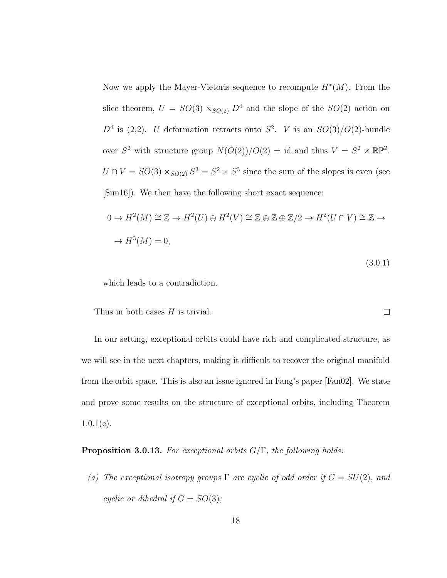Now we apply the Mayer-Vietoris sequence to recompute  $H^*(M)$ . From the slice theorem,  $U = SO(3) \times_{SO(2)} D^4$  and the slope of the  $SO(2)$  action on  $D^4$  is (2,2). U deformation retracts onto  $S^2$ . V is an  $SO(3)/O(2)$ -bundle over  $S^2$  with structure group  $N(O(2))/O(2) = id$  and thus  $V = S^2 \times \mathbb{RP}^2$ .  $U \cap V = SO(3) \times_{SO(2)} S^3 = S^2 \times S^3$  since the sum of the slopes is even (see [Sim16]). We then have the following short exact sequence:

$$
0 \to H^2(M) \cong \mathbb{Z} \to H^2(U) \oplus H^2(V) \cong \mathbb{Z} \oplus \mathbb{Z} \oplus \mathbb{Z}/2 \to H^2(U \cap V) \cong \mathbb{Z} \to
$$
  

$$
\to H^3(M) = 0,
$$

(3.0.1)

which leads to a contradiction.

Thus in both cases  $H$  is trivial.  $\Box$ 

In our setting, exceptional orbits could have rich and complicated structure, as we will see in the next chapters, making it difficult to recover the original manifold from the orbit space. This is also an issue ignored in Fang's paper [Fan02]. We state and prove some results on the structure of exceptional orbits, including Theorem  $1.0.1(c)$ .

**Proposition 3.0.13.** For exceptional orbits  $G/\Gamma$ , the following holds:

(a) The exceptional isotropy groups  $\Gamma$  are cyclic of odd order if  $G = SU(2)$ , and cyclic or dihedral if  $G = SO(3)$ ;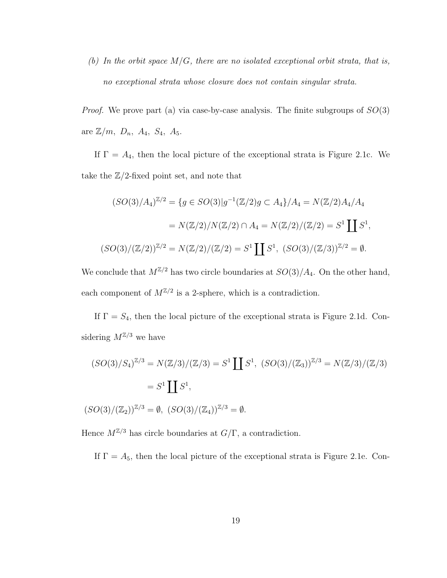(b) In the orbit space  $M/G$ , there are no isolated exceptional orbit strata, that is, no exceptional strata whose closure does not contain singular strata.

*Proof.* We prove part (a) via case-by-case analysis. The finite subgroups of  $SO(3)$ are  $\mathbb{Z}/m$ ,  $D_n$ ,  $A_4$ ,  $S_4$ ,  $A_5$ .

If  $\Gamma = A_4$ , then the local picture of the exceptional strata is Figure 2.1c. We take the  $\mathbb{Z}/2$ -fixed point set, and note that

$$
(SO(3)/A_4)^{\mathbb{Z}/2} = \{g \in SO(3)|g^{-1}(\mathbb{Z}/2)g \subset A_4\}/A_4 = N(\mathbb{Z}/2)A_4/A_4
$$

$$
= N(\mathbb{Z}/2)/N(\mathbb{Z}/2) \cap A_4 = N(\mathbb{Z}/2)/(\mathbb{Z}/2) = S^1 \coprod S^1,
$$

$$
(SO(3)/(\mathbb{Z}/2))^{\mathbb{Z}/2} = N(\mathbb{Z}/2)/(\mathbb{Z}/2) = S^1 \coprod S^1, (SO(3)/(\mathbb{Z}/3))^{\mathbb{Z}/2} = \emptyset.
$$

We conclude that  $M^{\mathbb{Z}/2}$  has two circle boundaries at  $SO(3)/A_4$ . On the other hand, each component of  $M^{\mathbb{Z}/2}$  is a 2-sphere, which is a contradiction.

If  $\Gamma = S_4$ , then the local picture of the exceptional strata is Figure 2.1d. Considering  $M^{\mathbb{Z}/3}$  we have

$$
(SO(3)/S_4)^{\mathbb{Z}/3} = N(\mathbb{Z}/3)/(\mathbb{Z}/3) = S^1 \coprod S^1, (SO(3)/(\mathbb{Z}_3))^{\mathbb{Z}/3} = N(\mathbb{Z}/3)/(\mathbb{Z}/3)
$$

$$
= S^1 \coprod S^1,
$$

$$
(SO(3)/(\mathbb{Z}_2))^{\mathbb{Z}/3} = \emptyset, (SO(3)/(\mathbb{Z}_4))^{\mathbb{Z}/3} = \emptyset.
$$

Hence  $M^{\mathbb{Z}/3}$  has circle boundaries at  $G/\Gamma$ , a contradiction.

If  $\Gamma = A_5$ , then the local picture of the exceptional strata is Figure 2.1e. Con-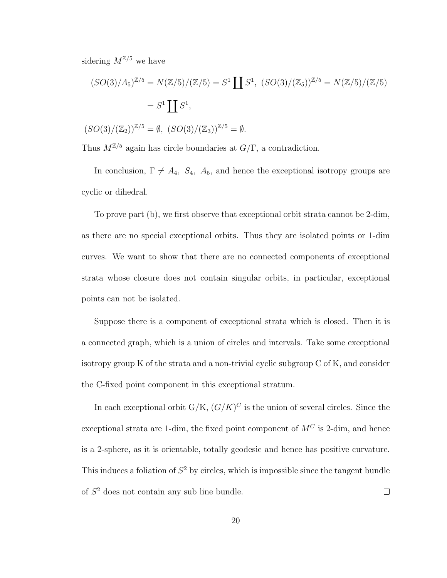sidering  $M^{\mathbb{Z}/5}$  we have

cyclic or dihedral.

$$
(SO(3)/A_5)^{\mathbb{Z}/5} = N(\mathbb{Z}/5)/(\mathbb{Z}/5) = S^1 \coprod S^1, (SO(3)/(\mathbb{Z}_5))^{\mathbb{Z}/5} = N(\mathbb{Z}/5)/(\mathbb{Z}/5)
$$

$$
= S^1 \coprod S^1,
$$

$$
(SO(3)/(\mathbb{Z}_2))^{\mathbb{Z}/5} = \emptyset, (SO(3)/(\mathbb{Z}_3))^{\mathbb{Z}/5} = \emptyset.
$$

Thus 
$$
M^{\mathbb{Z}/5}
$$
 again has circle boundaries at  $G/\Gamma$ , a contradiction.

In conclusion,  $\Gamma \neq A_4$ ,  $S_4$ ,  $A_5$ , and hence the exceptional isotropy groups are

To prove part (b), we first observe that exceptional orbit strata cannot be 2-dim, as there are no special exceptional orbits. Thus they are isolated points or 1-dim curves. We want to show that there are no connected components of exceptional strata whose closure does not contain singular orbits, in particular, exceptional points can not be isolated.

Suppose there is a component of exceptional strata which is closed. Then it is a connected graph, which is a union of circles and intervals. Take some exceptional isotropy group K of the strata and a non-trivial cyclic subgroup C of K, and consider the C-fixed point component in this exceptional stratum.

In each exceptional orbit  $G/K$ ,  $(G/K)^C$  is the union of several circles. Since the exceptional strata are 1-dim, the fixed point component of  $M^C$  is 2-dim, and hence is a 2-sphere, as it is orientable, totally geodesic and hence has positive curvature. This induces a foliation of  $S<sup>2</sup>$  by circles, which is impossible since the tangent bundle of  $S<sup>2</sup>$  does not contain any sub line bundle.  $\Box$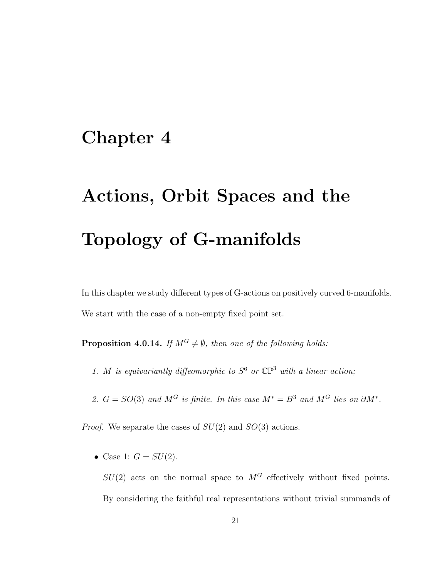### Chapter 4

# Actions, Orbit Spaces and the Topology of G-manifolds

In this chapter we study different types of G-actions on positively curved 6-manifolds. We start with the case of a non-empty fixed point set.

**Proposition 4.0.14.** If  $M^G \neq \emptyset$ , then one of the following holds:

- 1. M is equivariantly diffeomorphic to  $S^6$  or  $\mathbb{CP}^3$  with a linear action;
- 2.  $G = SO(3)$  and  $M^G$  is finite. In this case  $M^* = B^3$  and  $M^G$  lies on  $\partial M^*$ .

*Proof.* We separate the cases of  $SU(2)$  and  $SO(3)$  actions.

• Case 1:  $G = SU(2)$ .

 $SU(2)$  acts on the normal space to  $M<sup>G</sup>$  effectively without fixed points. By considering the faithful real representations without trivial summands of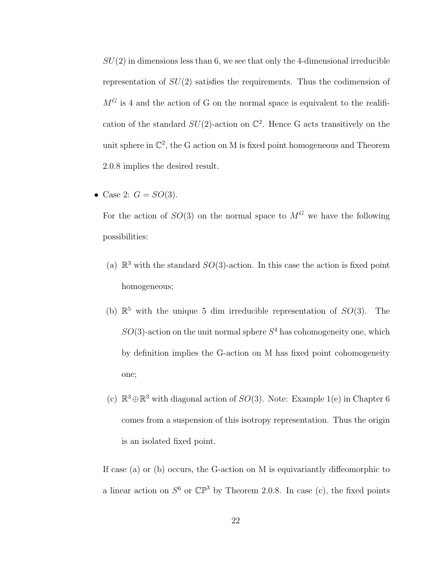$SU(2)$  in dimensions less than 6, we see that only the 4-dimensional irreducible representation of  $SU(2)$  satisfies the requirements. Thus the codimension of  $M<sup>G</sup>$  is 4 and the action of G on the normal space is equivalent to the realification of the standard  $SU(2)$ -action on  $\mathbb{C}^2$ . Hence G acts transitively on the unit sphere in  $\mathbb{C}^2$ , the G action on M is fixed point homogeneous and Theorem 2.0.8 implies the desired result.

• Case 2:  $G = SO(3)$ .

For the action of  $SO(3)$  on the normal space to  $M<sup>G</sup>$  we have the following possibilities:

- (a)  $\mathbb{R}^3$  with the standard  $SO(3)$ -action. In this case the action is fixed point homogeneous;
- (b)  $\mathbb{R}^5$  with the unique 5 dim irreducible representation of  $SO(3)$ . The  $SO(3)$ -action on the unit normal sphere  $S<sup>4</sup>$  has cohomogeneity one, which by definition implies the G-action on M has fixed point cohomogeneity one;
- (c)  $\mathbb{R}^3$  ⊕ $\mathbb{R}^3$  with diagonal action of  $SO(3)$ . Note: Example 1(e) in Chapter 6 comes from a suspension of this isotropy representation. Thus the origin is an isolated fixed point.

If case (a) or (b) occurs, the G-action on M is equivariantly diffeomorphic to a linear action on  $S^6$  or  $\mathbb{CP}^3$  by Theorem 2.0.8. In case (c), the fixed points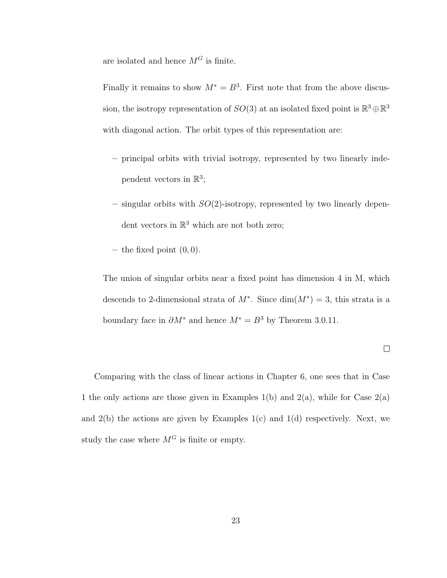are isolated and hence  $M^G$  is finite.

Finally it remains to show  $M^* = B^3$ . First note that from the above discussion, the isotropy representation of  $SO(3)$  at an isolated fixed point is  $\mathbb{R}^3 \oplus \mathbb{R}^3$ with diagonal action. The orbit types of this representation are:

- principal orbits with trivial isotropy, represented by two linearly independent vectors in  $\mathbb{R}^3$ ;
- singular orbits with  $SO(2)$ -isotropy, represented by two linearly dependent vectors in  $\mathbb{R}^3$  which are not both zero;
- the fixed point  $(0, 0)$ .

The union of singular orbits near a fixed point has dimension 4 in M, which descends to 2-dimensional strata of  $M^*$ . Since  $\dim(M^*)=3$ , this strata is a boundary face in  $\partial M^*$  and hence  $M^* = B^3$  by Theorem 3.0.11.

$$
\qquad \qquad \Box
$$

Comparing with the class of linear actions in Chapter 6, one sees that in Case 1 the only actions are those given in Examples 1(b) and 2(a), while for Case  $2(a)$ and  $2(b)$  the actions are given by Examples  $1(c)$  and  $1(d)$  respectively. Next, we study the case where  $M<sup>G</sup>$  is finite or empty.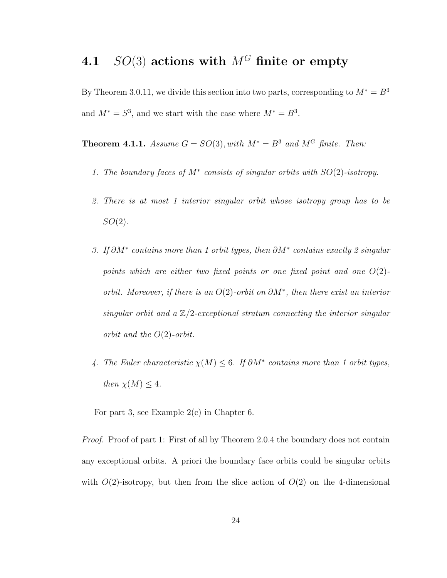#### 4.1  $SO(3)$  actions with  $M<sup>G</sup>$  finite or empty

By Theorem 3.0.11, we divide this section into two parts, corresponding to  $M^* = B^3$ and  $M^* = S^3$ , and we start with the case where  $M^* = B^3$ .

Theorem 4.1.1. Assume  $G = SO(3)$ , with  $M^* = B^3$  and  $M^G$  finite. Then:

- 1. The boundary faces of  $M^*$  consists of singular orbits with  $SO(2)$ -isotropy.
- 2. There is at most 1 interior singular orbit whose isotropy group has to be  $SO(2)$ .
- 3. If  $\partial M^*$  contains more than 1 orbit types, then  $\partial M^*$  contains exactly 2 singular points which are either two fixed points or one fixed point and one  $O(2)$ orbit. Moreover, if there is an  $O(2)$ -orbit on  $\partial M^*$ , then there exist an interior singular orbit and a  $\mathbb{Z}/2$ -exceptional stratum connecting the interior singular orbit and the  $O(2)$ -orbit.
- 4. The Euler characteristic  $\chi(M) \leq 6$ . If  $\partial M^*$  contains more than 1 orbit types, then  $\chi(M) \leq 4$ .

For part 3, see Example 2(c) in Chapter 6.

Proof. Proof of part 1: First of all by Theorem 2.0.4 the boundary does not contain any exceptional orbits. A priori the boundary face orbits could be singular orbits with  $O(2)$ -isotropy, but then from the slice action of  $O(2)$  on the 4-dimensional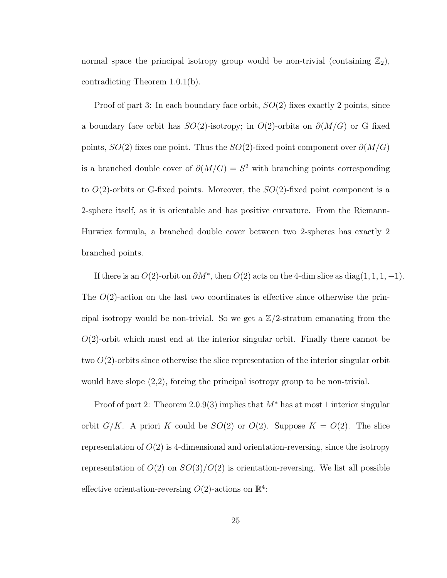normal space the principal isotropy group would be non-trivial (containing  $\mathbb{Z}_2$ ), contradicting Theorem 1.0.1(b).

Proof of part 3: In each boundary face orbit,  $SO(2)$  fixes exactly 2 points, since a boundary face orbit has  $SO(2)$ -isotropy; in  $O(2)$ -orbits on  $\partial(M/G)$  or G fixed points,  $SO(2)$  fixes one point. Thus the  $SO(2)$ -fixed point component over  $\partial(M/G)$ is a branched double cover of  $\partial(M/G) = S^2$  with branching points corresponding to  $O(2)$ -orbits or G-fixed points. Moreover, the  $SO(2)$ -fixed point component is a 2-sphere itself, as it is orientable and has positive curvature. From the Riemann-Hurwicz formula, a branched double cover between two 2-spheres has exactly 2 branched points.

If there is an  $O(2)$ -orbit on  $\partial M^*$ , then  $O(2)$  acts on the 4-dim slice as diag(1, 1, 1, -1). The  $O(2)$ -action on the last two coordinates is effective since otherwise the principal isotropy would be non-trivial. So we get a  $\mathbb{Z}/2$ -stratum emanating from the  $O(2)$ -orbit which must end at the interior singular orbit. Finally there cannot be two  $O(2)$ -orbits since otherwise the slice representation of the interior singular orbit would have slope (2,2), forcing the principal isotropy group to be non-trivial.

Proof of part 2: Theorem 2.0.9(3) implies that  $M^*$  has at most 1 interior singular orbit  $G/K$ . A priori K could be  $SO(2)$  or  $O(2)$ . Suppose  $K = O(2)$ . The slice representation of  $O(2)$  is 4-dimensional and orientation-reversing, since the isotropy representation of  $O(2)$  on  $SO(3)/O(2)$  is orientation-reversing. We list all possible effective orientation-reversing  $O(2)$ -actions on  $\mathbb{R}^4$ :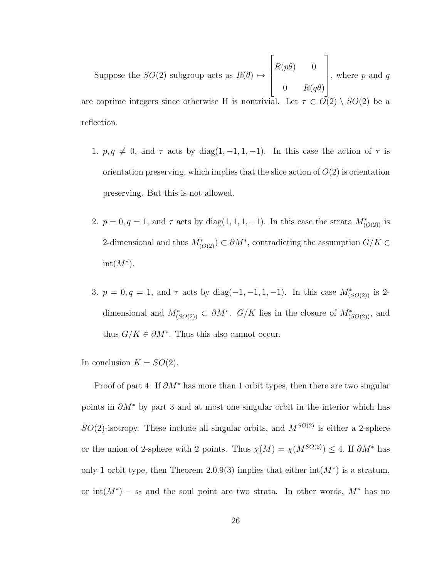Suppose the  $SO(2)$  subgroup acts as  $R(\theta) \mapsto$  $\sqrt{ }$  $\begin{matrix} \phantom{-} \end{matrix}$  $R(p\theta) = 0$ 0  $R(q\theta)$ 1  $\begin{matrix} \phantom{-} \end{matrix}$ , where  $p$  and  $q$ are coprime integers since otherwise H is nontrivial. Let  $\tau \in \overline{O(2)} \setminus SO(2)$  be a reflection.

- 1.  $p, q \neq 0$ , and  $\tau$  acts by diag(1, -1, 1, -1). In this case the action of  $\tau$  is orientation preserving, which implies that the slice action of  $O(2)$  is orientation preserving. But this is not allowed.
- 2.  $p = 0, q = 1$ , and  $\tau$  acts by diag(1, 1, 1, -1). In this case the strata  $M^*_{(O(2))}$  is 2-dimensional and thus  $M^*_{(O(2))} \subset \partial M^*$ , contradicting the assumption  $G/K \in$  $int(M^*)$ .
- 3.  $p = 0, q = 1$ , and  $\tau$  acts by diag(-1, -1, 1, -1). In this case  $M^*_{(SO(2))}$  is 2dimensional and  $M^*_{(SO(2))} \subset \partial M^*$ .  $G/K$  lies in the closure of  $M^*_{(SO(2))}$ , and thus  $G/K \in \partial M^*$ . Thus this also cannot occur.

In conclusion  $K = SO(2)$ .

Proof of part 4: If  $\partial M^*$  has more than 1 orbit types, then there are two singular points in  $\partial M^*$  by part 3 and at most one singular orbit in the interior which has  $SO(2)$ -isotropy. These include all singular orbits, and  $M^{SO(2)}$  is either a 2-sphere or the union of 2-sphere with 2 points. Thus  $\chi(M) = \chi(M^{SO(2)}) \leq 4$ . If  $\partial M^*$  has only 1 orbit type, then Theorem 2.0.9(3) implies that either  $\text{int}(M^*)$  is a stratum, or int $(M^*) - s_0$  and the soul point are two strata. In other words,  $M^*$  has no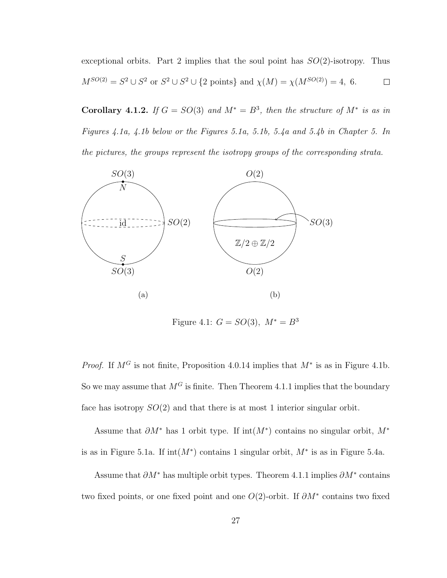exceptional orbits. Part 2 implies that the soul point has  $SO(2)$ -isotropy. Thus  $M^{SO(2)} = S^2 \cup S^2$  or  $S^2 \cup S^2 \cup \{2 \text{ points}\}\$ and  $\chi(M) = \chi(M^{SO(2)}) = 4, 6.$  $\Box$ 

Corollary 4.1.2. If  $G = SO(3)$  and  $M^* = B^3$ , then the structure of  $M^*$  is as in Figures 4.1a, 4.1b below or the Figures 5.1a, 5.1b, 5.4a and 5.4b in Chapter 5. In the pictures, the groups represent the isotropy groups of the corresponding strata.



Figure 4.1:  $G = SO(3), M^* = B^3$ 

*Proof.* If  $M^G$  is not finite, Proposition 4.0.14 implies that  $M^*$  is as in Figure 4.1b. So we may assume that  $M<sup>G</sup>$  is finite. Then Theorem 4.1.1 implies that the boundary face has isotropy  $SO(2)$  and that there is at most 1 interior singular orbit.

Assume that  $\partial M^*$  has 1 orbit type. If int $(M^*)$  contains no singular orbit,  $M^*$ is as in Figure 5.1a. If  $int(M^*)$  contains 1 singular orbit,  $M^*$  is as in Figure 5.4a.

Assume that  $\partial M^*$  has multiple orbit types. Theorem 4.1.1 implies  $\partial M^*$  contains two fixed points, or one fixed point and one  $O(2)$ -orbit. If  $\partial M^*$  contains two fixed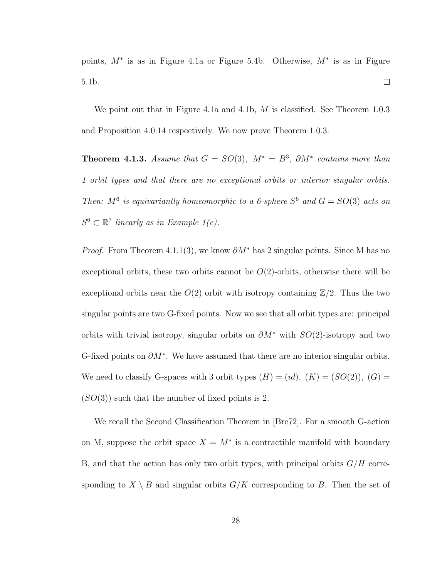points,  $M^*$  is as in Figure 4.1a or Figure 5.4b. Otherwise,  $M^*$  is as in Figure  $\Box$ 5.1b.

We point out that in Figure 4.1a and 4.1b,  $M$  is classified. See Theorem 1.0.3 and Proposition 4.0.14 respectively. We now prove Theorem 1.0.3.

**Theorem 4.1.3.** Assume that  $G = SO(3)$ ,  $M^* = B^3$ ,  $\partial M^*$  contains more than 1 orbit types and that there are no exceptional orbits or interior singular orbits. Then:  $M^6$  is equivariantly homeomorphic to a 6-sphere  $S^6$  and  $G = SO(3)$  acts on  $S^6 \subset \mathbb{R}^7$  linearly as in Example 1(e).

*Proof.* From Theorem 4.1.1(3), we know  $\partial M^*$  has 2 singular points. Since M has no exceptional orbits, these two orbits cannot be  $O(2)$ -orbits, otherwise there will be exceptional orbits near the  $O(2)$  orbit with isotropy containing  $\mathbb{Z}/2$ . Thus the two singular points are two G-fixed points. Now we see that all orbit types are: principal orbits with trivial isotropy, singular orbits on  $\partial M^*$  with  $SO(2)$ -isotropy and two G-fixed points on  $\partial M^*$ . We have assumed that there are no interior singular orbits. We need to classify G-spaces with 3 orbit types  $(H) = (id), (K) = (SO(2)), (G) =$  $(SO(3))$  such that the number of fixed points is 2.

We recall the Second Classification Theorem in [Bre72]. For a smooth G-action on M, suppose the orbit space  $X = M^*$  is a contractible manifold with boundary B, and that the action has only two orbit types, with principal orbits  $G/H$  corresponding to  $X \setminus B$  and singular orbits  $G/K$  corresponding to B. Then the set of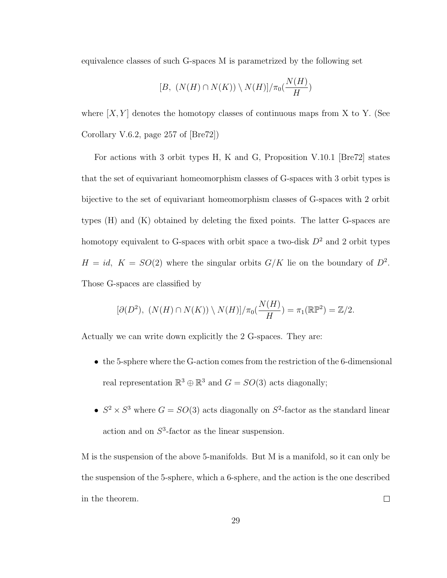equivalence classes of such G-spaces M is parametrized by the following set

$$
[B, (N(H) \cap N(K)) \setminus N(H)] / \pi_0(\frac{N(H)}{H})
$$

where  $[X, Y]$  denotes the homotopy classes of continuous maps from X to Y. (See Corollary V.6.2, page 257 of [Bre72])

For actions with 3 orbit types H, K and G, Proposition V.10.1 [Bre72] states that the set of equivariant homeomorphism classes of G-spaces with 3 orbit types is bijective to the set of equivariant homeomorphism classes of G-spaces with 2 orbit types (H) and (K) obtained by deleting the fixed points. The latter G-spaces are homotopy equivalent to G-spaces with orbit space a two-disk  $D^2$  and 2 orbit types  $H = id$ ,  $K = SO(2)$  where the singular orbits  $G/K$  lie on the boundary of  $D^2$ . Those G-spaces are classified by

$$
[\partial(D^2), (N(H) \cap N(K)) \setminus N(H)] / \pi_0(\frac{N(H)}{H}) = \pi_1(\mathbb{RP}^2) = \mathbb{Z}/2.
$$

Actually we can write down explicitly the 2 G-spaces. They are:

- the 5-sphere where the G-action comes from the restriction of the 6-dimensional real representation  $\mathbb{R}^3 \oplus \mathbb{R}^3$  and  $G = SO(3)$  acts diagonally;
- $S^2 \times S^3$  where  $G = SO(3)$  acts diagonally on  $S^2$ -factor as the standard linear action and on  $S^3$ -factor as the linear suspension.

M is the suspension of the above 5-manifolds. But M is a manifold, so it can only be the suspension of the 5-sphere, which a 6-sphere, and the action is the one described in the theorem.  $\Box$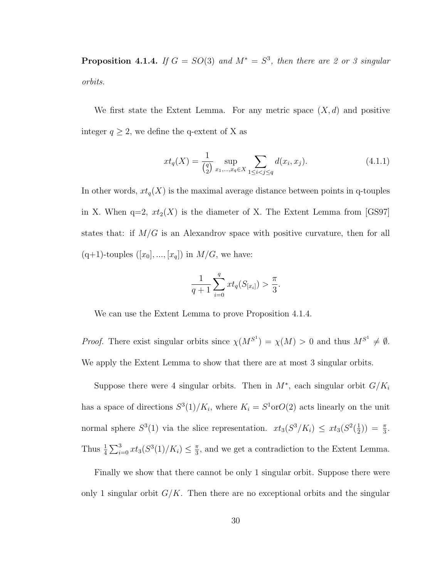**Proposition 4.1.4.** If  $G = SO(3)$  and  $M^* = S^3$ , then there are 2 or 3 singular orbits.

We first state the Extent Lemma. For any metric space  $(X, d)$  and positive integer  $q \geq 2$ , we define the q-extent of X as

$$
xt_q(X) = \frac{1}{\binom{q}{2}} \sup_{x_1, \dots, x_q \in X} \sum_{1 \le i < j \le q} d(x_i, x_j). \tag{4.1.1}
$$

In other words,  $xt_q(X)$  is the maximal average distance between points in q-touples in X. When  $q=2$ ,  $xt_2(X)$  is the diameter of X. The Extent Lemma from [GS97] states that: if  $M/G$  is an Alexandrov space with positive curvature, then for all  $(q+1)$ -touples  $([x_0], ..., [x_q])$  in  $M/G$ , we have:

$$
\frac{1}{q+1}\sum_{i=0}^{q}xt_q(S_{[x_i]}) > \frac{\pi}{3}.
$$

We can use the Extent Lemma to prove Proposition 4.1.4.

*Proof.* There exist singular orbits since  $\chi(M^{S^1}) = \chi(M) > 0$  and thus  $M^{S^1} \neq \emptyset$ . We apply the Extent Lemma to show that there are at most 3 singular orbits.

Suppose there were 4 singular orbits. Then in  $M^*$ , each singular orbit  $G/K_i$ has a space of directions  $S^3(1)/K_i$ , where  $K_i = S^1$ or $O(2)$  acts linearly on the unit normal sphere  $S^3(1)$  via the slice representation.  $xt_3(S^3/K_i) \leq xt_3(S^2(\frac{1}{2}))$  $(\frac{1}{2})$  =  $\frac{\pi}{3}$ . Thus  $\frac{1}{4} \sum_{i=0}^{3} xt_3(S^3(1)/K_i) \leq \frac{\pi}{3}$  $\frac{\pi}{3}$ , and we get a contradiction to the Extent Lemma.

Finally we show that there cannot be only 1 singular orbit. Suppose there were only 1 singular orbit  $G/K$ . Then there are no exceptional orbits and the singular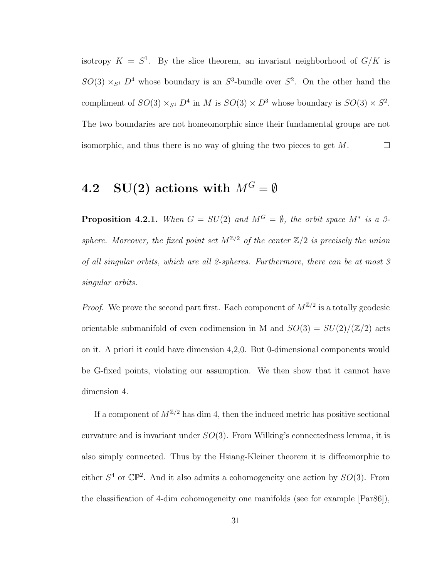isotropy  $K = S^1$ . By the slice theorem, an invariant neighborhood of  $G/K$  is  $SO(3) \times_{S^1} D^4$  whose boundary is an  $S^3$ -bundle over  $S^2$ . On the other hand the compliment of  $SO(3) \times_{S^1} D^4$  in M is  $SO(3) \times D^3$  whose boundary is  $SO(3) \times S^2$ . The two boundaries are not homeomorphic since their fundamental groups are not isomorphic, and thus there is no way of gluing the two pieces to get M.  $\Box$ 

#### 4.2 SU(2) actions with  $M^G = \emptyset$

**Proposition 4.2.1.** When  $G = SU(2)$  and  $M^G = \emptyset$ , the orbit space  $M^*$  is a 3sphere. Moreover, the fixed point set  $M^{\mathbb{Z}/2}$  of the center  $\mathbb{Z}/2$  is precisely the union of all singular orbits, which are all 2-spheres. Furthermore, there can be at most 3 singular orbits.

*Proof.* We prove the second part first. Each component of  $M^{\mathbb{Z}/2}$  is a totally geodesic orientable submanifold of even codimension in M and  $SO(3) = SU(2)/(\mathbb{Z}/2)$  acts on it. A priori it could have dimension 4,2,0. But 0-dimensional components would be G-fixed points, violating our assumption. We then show that it cannot have dimension 4.

If a component of  $M^{\mathbb{Z}/2}$  has dim 4, then the induced metric has positive sectional curvature and is invariant under  $SO(3)$ . From Wilking's connectedness lemma, it is also simply connected. Thus by the Hsiang-Kleiner theorem it is diffeomorphic to either  $S^4$  or  $\mathbb{CP}^2$ . And it also admits a cohomogeneity one action by  $SO(3)$ . From the classification of 4-dim cohomogeneity one manifolds (see for example [Par86]),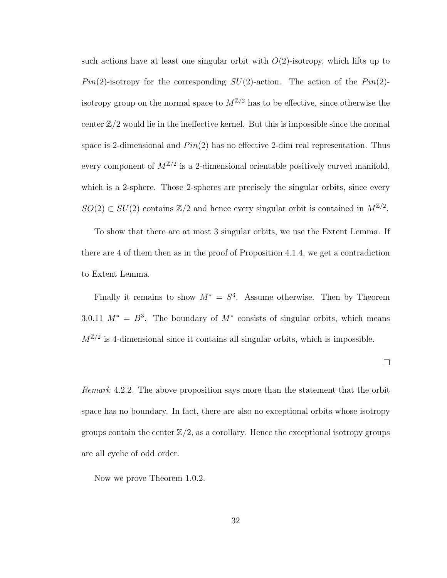such actions have at least one singular orbit with  $O(2)$ -isotropy, which lifts up to  $Pin(2)$ -isotropy for the corresponding  $SU(2)$ -action. The action of the  $Pin(2)$ isotropy group on the normal space to  $M^{\mathbb{Z}/2}$  has to be effective, since otherwise the center  $\mathbb{Z}/2$  would lie in the ineffective kernel. But this is impossible since the normal space is 2-dimensional and  $Pin(2)$  has no effective 2-dim real representation. Thus every component of  $M^{\mathbb{Z}/2}$  is a 2-dimensional orientable positively curved manifold, which is a 2-sphere. Those 2-spheres are precisely the singular orbits, since every  $SO(2) \subset SU(2)$  contains  $\mathbb{Z}/2$  and hence every singular orbit is contained in  $M^{\mathbb{Z}/2}$ .

To show that there are at most 3 singular orbits, we use the Extent Lemma. If there are 4 of them then as in the proof of Proposition 4.1.4, we get a contradiction to Extent Lemma.

Finally it remains to show  $M^* = S^3$ . Assume otherwise. Then by Theorem 3.0.11  $M^* = B^3$ . The boundary of  $M^*$  consists of singular orbits, which means  $M^{\mathbb{Z}/2}$  is 4-dimensional since it contains all singular orbits, which is impossible.

 $\Box$ 

Remark 4.2.2. The above proposition says more than the statement that the orbit space has no boundary. In fact, there are also no exceptional orbits whose isotropy groups contain the center  $\mathbb{Z}/2$ , as a corollary. Hence the exceptional isotropy groups are all cyclic of odd order.

Now we prove Theorem 1.0.2.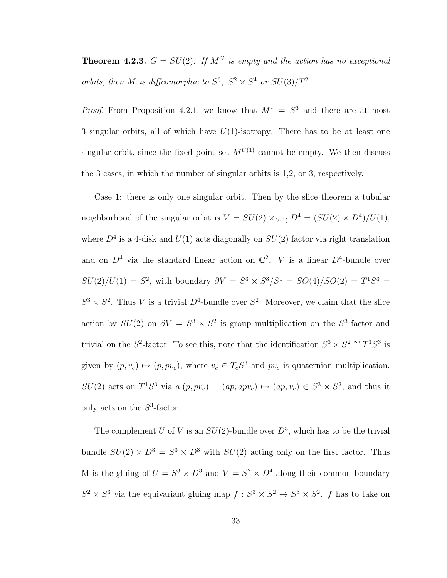**Theorem 4.2.3.**  $G = SU(2)$ . If  $M<sup>G</sup>$  is empty and the action has no exceptional orbits, then M is diffeomorphic to  $S^6$ ,  $S^2 \times S^4$  or  $SU(3)/T^2$ .

*Proof.* From Proposition 4.2.1, we know that  $M^* = S^3$  and there are at most 3 singular orbits, all of which have  $U(1)$ -isotropy. There has to be at least one singular orbit, since the fixed point set  $M^{U(1)}$  cannot be empty. We then discuss the 3 cases, in which the number of singular orbits is 1,2, or 3, respectively.

Case 1: there is only one singular orbit. Then by the slice theorem a tubular neighborhood of the singular orbit is  $V = SU(2) \times_{U(1)} D^4 = (SU(2) \times D^4)/U(1)$ , where  $D^4$  is a 4-disk and  $U(1)$  acts diagonally on  $SU(2)$  factor via right translation and on  $D^4$  via the standard linear action on  $\mathbb{C}^2$ . V is a linear  $D^4$ -bundle over  $SU(2)/U(1) = S^2$ , with boundary  $\partial V = S^3 \times S^3/S^1 = SO(4)/SO(2) = T^1S^3 =$  $S^3 \times S^2$ . Thus V is a trivial  $D^4$ -bundle over  $S^2$ . Moreover, we claim that the slice action by  $SU(2)$  on  $\partial V = S^3 \times S^2$  is group multiplication on the  $S^3$ -factor and trivial on the  $S^2$ -factor. To see this, note that the identification  $S^3 \times S^2 \cong T^1S^3$  is given by  $(p, v_e) \mapsto (p, pv_e)$ , where  $v_e \in T_e S^3$  and  $pv_e$  is quaternion multiplication.  $SU(2)$  acts on  $T^1S^3$  via  $a.(p, pv_e) = (ap, apv_e) \mapsto (ap, v_e) \in S^3 \times S^2$ , and thus it only acts on the  $S^3$ -factor.

The complement U of V is an  $SU(2)$ -bundle over  $D^3$ , which has to be the trivial bundle  $SU(2) \times D^3 = S^3 \times D^3$  with  $SU(2)$  acting only on the first factor. Thus M is the gluing of  $U = S^3 \times D^3$  and  $V = S^2 \times D^4$  along their common boundary  $S^2 \times S^3$  via the equivariant gluing map  $f : S^3 \times S^2 \to S^3 \times S^2$ . f has to take on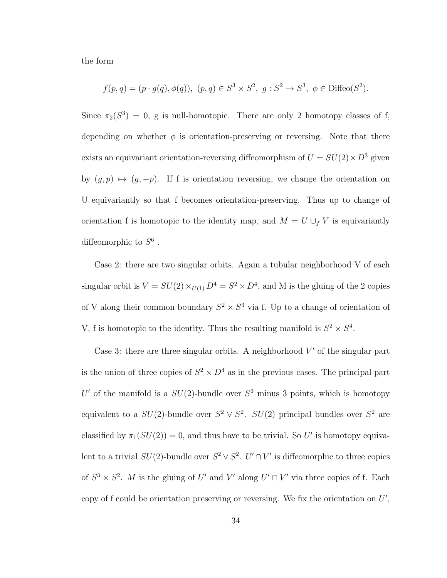the form

$$
f(p,q) = (p \cdot g(q), \phi(q)), (p,q) \in S^3 \times S^2, g : S^2 \to S^3, \phi \in \text{Diffeo}(S^2).
$$

Since  $\pi_2(S^3) = 0$ , g is null-homotopic. There are only 2 homotopy classes of f, depending on whether  $\phi$  is orientation-preserving or reversing. Note that there exists an equivariant orientation-reversing diffeomorphism of  $U = SU(2) \times D^3$  given by  $(g, p) \mapsto (g, -p)$ . If f is orientation reversing, we change the orientation on U equivariantly so that f becomes orientation-preserving. Thus up to change of orientation f is homotopic to the identity map, and  $M = U \cup_f V$  is equivariantly diffeomorphic to  $S^6$ .

Case 2: there are two singular orbits. Again a tubular neighborhood V of each singular orbit is  $V = SU(2) \times_{U(1)} D^4 = S^2 \times D^4$ , and M is the gluing of the 2 copies of V along their common boundary  $S^2 \times S^3$  via f. Up to a change of orientation of V, f is homotopic to the identity. Thus the resulting manifold is  $S^2 \times S^4$ .

Case 3: there are three singular orbits. A neighborhood  $V'$  of the singular part is the union of three copies of  $S^2 \times D^4$  as in the previous cases. The principal part U' of the manifold is a  $SU(2)$ -bundle over  $S^3$  minus 3 points, which is homotopy equivalent to a  $SU(2)$ -bundle over  $S^2 \vee S^2$ .  $SU(2)$  principal bundles over  $S^2$  are classified by  $\pi_1(SU(2)) = 0$ , and thus have to be trivial. So U' is homotopy equivalent to a trivial  $SU(2)$ -bundle over  $S^2 \vee S^2$ .  $U' \cap V'$  is diffeomorphic to three copies of  $S^3 \times S^2$ . M is the gluing of U' and V' along  $U' \cap V'$  via three copies of f. Each copy of f could be orientation preserving or reversing. We fix the orientation on  $U'$ ,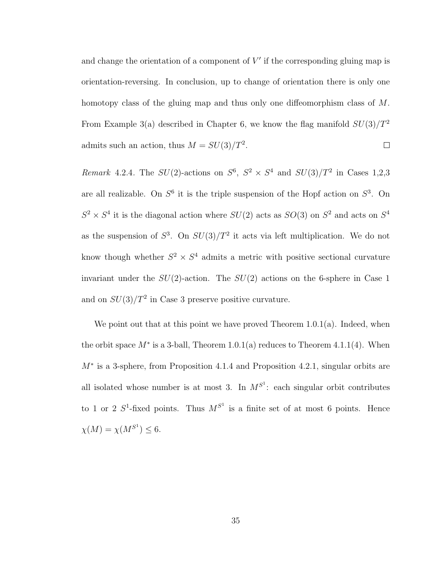and change the orientation of a component of  $V'$  if the corresponding gluing map is orientation-reversing. In conclusion, up to change of orientation there is only one homotopy class of the gluing map and thus only one diffeomorphism class of M. From Example 3(a) described in Chapter 6, we know the flag manifold  $SU(3)/T^2$ admits such an action, thus  $M = SU(3)/T^2$ .  $\Box$ 

Remark 4.2.4. The  $SU(2)$ -actions on  $S^6$ ,  $S^2 \times S^4$  and  $SU(3)/T^2$  in Cases 1,2,3 are all realizable. On  $S^6$  it is the triple suspension of the Hopf action on  $S^3$ . On  $S^2 \times S^4$  it is the diagonal action where  $SU(2)$  acts as  $SO(3)$  on  $S^2$  and acts on  $S^4$ as the suspension of  $S^3$ . On  $SU(3)/T^2$  it acts via left multiplication. We do not know though whether  $S^2 \times S^4$  admits a metric with positive sectional curvature invariant under the  $SU(2)$ -action. The  $SU(2)$  actions on the 6-sphere in Case 1 and on  $SU(3)/T^2$  in Case 3 preserve positive curvature.

We point out that at this point we have proved Theorem  $1.0.1(a)$ . Indeed, when the orbit space  $M^*$  is a 3-ball, Theorem 1.0.1(a) reduces to Theorem 4.1.1(4). When M<sup>∗</sup> is a 3-sphere, from Proposition 4.1.4 and Proposition 4.2.1, singular orbits are all isolated whose number is at most 3. In  $M^{S^1}$ : each singular orbit contributes to 1 or 2  $S^1$ -fixed points. Thus  $M^{S^1}$  is a finite set of at most 6 points. Hence  $\chi(M) = \chi(M^{S^1}) \leq 6.$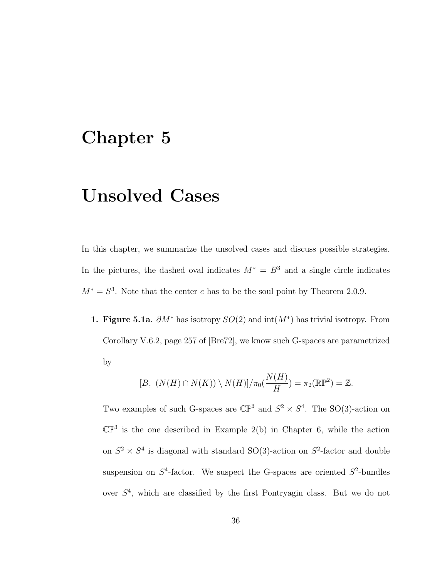#### Chapter 5

## Unsolved Cases

In this chapter, we summarize the unsolved cases and discuss possible strategies. In the pictures, the dashed oval indicates  $M^* = B^3$  and a single circle indicates  $M^* = S^3$ . Note that the center c has to be the soul point by Theorem 2.0.9.

1. Figure 5.1a.  $\partial M^*$  has isotropy  $SO(2)$  and  $\text{int}(M^*)$  has trivial isotropy. From Corollary V.6.2, page 257 of [Bre72], we know such G-spaces are parametrized by

$$
[B, (N(H) \cap N(K)) \setminus N(H)]/\pi_0(\frac{N(H)}{H}) = \pi_2(\mathbb{RP}^2) = \mathbb{Z}.
$$

Two examples of such G-spaces are  $\mathbb{CP}^3$  and  $S^2 \times S^4$ . The SO(3)-action on  $\mathbb{CP}^3$  is the one described in Example 2(b) in Chapter 6, while the action on  $S^2 \times S^4$  is diagonal with standard SO(3)-action on  $S^2$ -factor and double suspension on  $S^4$ -factor. We suspect the G-spaces are oriented  $S^2$ -bundles over  $S<sup>4</sup>$ , which are classified by the first Pontryagin class. But we do not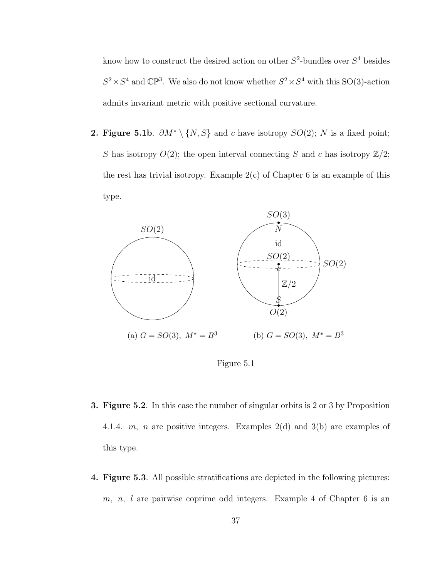know how to construct the desired action on other  $S^2$ -bundles over  $S^4$  besides  $S^2 \times S^4$  and  $\mathbb{CP}^3$ . We also do not know whether  $S^2 \times S^4$  with this SO(3)-action admits invariant metric with positive sectional curvature.

**2. Figure 5.1b.**  $\partial M^* \setminus \{N, S\}$  and c have isotropy  $SO(2)$ ; N is a fixed point; S has isotropy  $O(2)$ ; the open interval connecting S and c has isotropy  $\mathbb{Z}/2$ ; the rest has trivial isotropy. Example  $2(c)$  of Chapter 6 is an example of this type.



Figure 5.1

- 3. Figure 5.2. In this case the number of singular orbits is 2 or 3 by Proposition 4.1.4. m, n are positive integers. Examples  $2(d)$  and  $3(b)$  are examples of this type.
- 4. Figure 5.3. All possible stratifications are depicted in the following pictures: m, n, l are pairwise coprime odd integers. Example 4 of Chapter 6 is an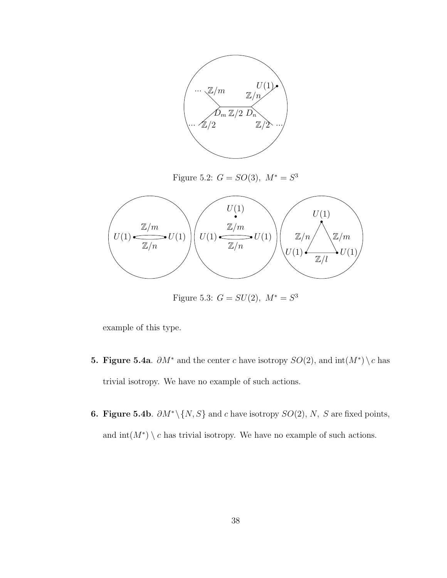

Figure 5.2:  $G = SO(3)$ ,  $M^* = S^3$ 



Figure 5.3:  $G = SU(2), M^* = S^3$ 

example of this type.

- **5. Figure 5.4a.**  $\partial M^*$  and the center c have isotropy  $SO(2)$ , and  $\text{int}(M^*) \setminus c$  has trivial isotropy. We have no example of such actions.
- **6. Figure 5.4b.**  $\partial M^* \setminus \{N, S\}$  and c have isotropy  $SO(2)$ , N, S are fixed points, and  $\text{int}(M^*) \setminus c$  has trivial isotropy. We have no example of such actions.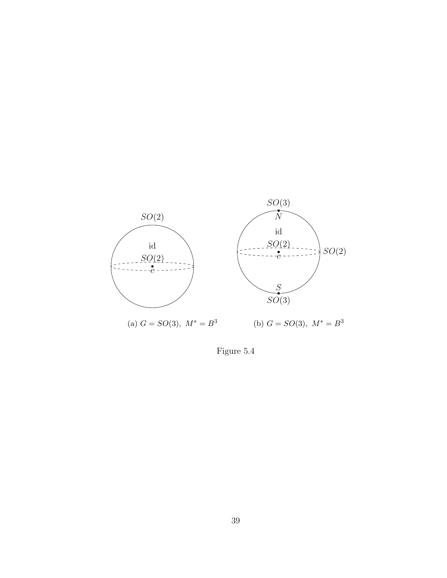

Figure 5.4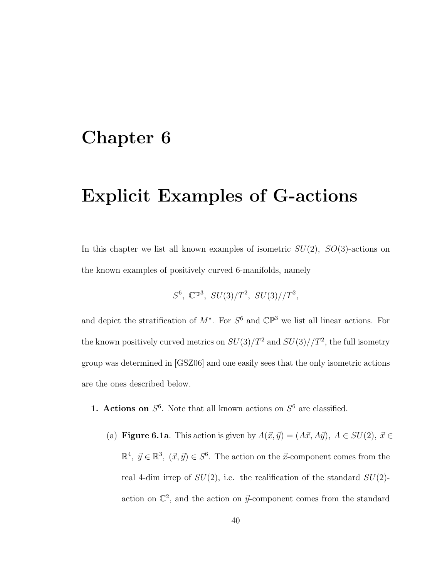#### Chapter 6

## Explicit Examples of G-actions

In this chapter we list all known examples of isometric  $SU(2)$ ,  $SO(3)$ -actions on the known examples of positively curved 6-manifolds, namely

$$
S^6
$$
,  $\mathbb{CP}^3$ ,  $SU(3)/T^2$ ,  $SU(3)/T^2$ ,

and depict the stratification of  $M^*$ . For  $S^6$  and  $\mathbb{CP}^3$  we list all linear actions. For the known positively curved metrics on  $SU(3)/T^2$  and  $SU(3)/T^2$ , the full isometry group was determined in [GSZ06] and one easily sees that the only isometric actions are the ones described below.

- **1. Actions on**  $S^6$ . Note that all known actions on  $S^6$  are classified.
	- (a) Figure 6.1a. This action is given by  $A(\vec{x}, \vec{y}) = (A\vec{x}, A\vec{y}), A \in SU(2), \vec{x} \in$  $\mathbb{R}^4$ ,  $\vec{y} \in \mathbb{R}^3$ ,  $(\vec{x}, \vec{y}) \in S^6$ . The action on the  $\vec{x}$ -component comes from the real 4-dim irrep of  $SU(2)$ , i.e. the realification of the standard  $SU(2)$ action on  $\mathbb{C}^2$ , and the action on  $\vec{y}$ -component comes from the standard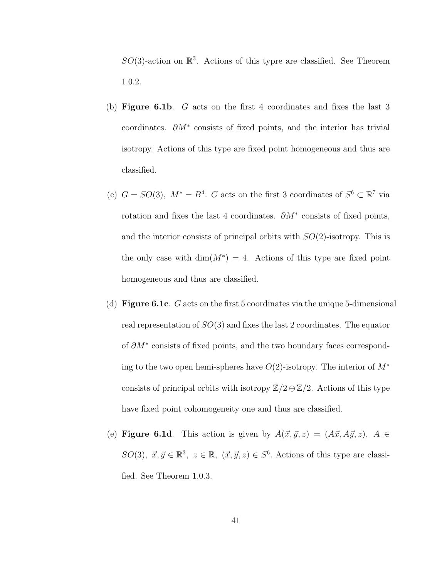$SO(3)$ -action on  $\mathbb{R}^3$ . Actions of this typre are classified. See Theorem 1.0.2.

- (b) Figure 6.1b. G acts on the first 4 coordinates and fixes the last 3 coordinates.  $\partial M^*$  consists of fixed points, and the interior has trivial isotropy. Actions of this type are fixed point homogeneous and thus are classified.
- (c)  $G = SO(3)$ ,  $M^* = B^4$ . G acts on the first 3 coordinates of  $S^6 \subset \mathbb{R}^7$  via rotation and fixes the last 4 coordinates.  $\partial M^*$  consists of fixed points, and the interior consists of principal orbits with  $SO(2)$ -isotropy. This is the only case with  $\dim(M^*) = 4$ . Actions of this type are fixed point homogeneous and thus are classified.
- (d) Figure 6.1c. G acts on the first 5 coordinates via the unique 5-dimensional real representation of  $SO(3)$  and fixes the last 2 coordinates. The equator of ∂M<sup>∗</sup> consists of fixed points, and the two boundary faces corresponding to the two open hemi-spheres have  $O(2)$ -isotropy. The interior of  $M^*$ consists of principal orbits with isotropy  $\mathbb{Z}/2 \oplus \mathbb{Z}/2$ . Actions of this type have fixed point cohomogeneity one and thus are classified.
- (e) Figure 6.1d. This action is given by  $A(\vec{x}, \vec{y}, z) = (A\vec{x}, A\vec{y}, z), A \in$  $SO(3), \, \vec{x}, \vec{y} \in \mathbb{R}^3, \, z \in \mathbb{R}, \, (\vec{x}, \vec{y}, z) \in S^6.$  Actions of this type are classified. See Theorem 1.0.3.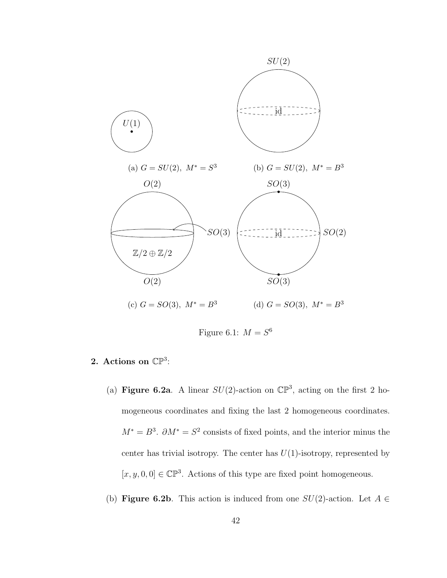

Figure 6.1:  $M = S^6$ 

- 2. Actions on  $\mathbb{CP}^3$ :
	- (a) Figure 6.2a. A linear  $SU(2)$ -action on  $\mathbb{CP}^3$ , acting on the first 2 homogeneous coordinates and fixing the last 2 homogeneous coordinates.  $M^* = B^3$ .  $\partial M^* = S^2$  consists of fixed points, and the interior minus the center has trivial isotropy. The center has  $U(1)$ -isotropy, represented by  $[x, y, 0, 0] \in \mathbb{CP}^3$ . Actions of this type are fixed point homogeneous.
	- (b) Figure 6.2b. This action is induced from one  $SU(2)$ -action. Let  $A \in$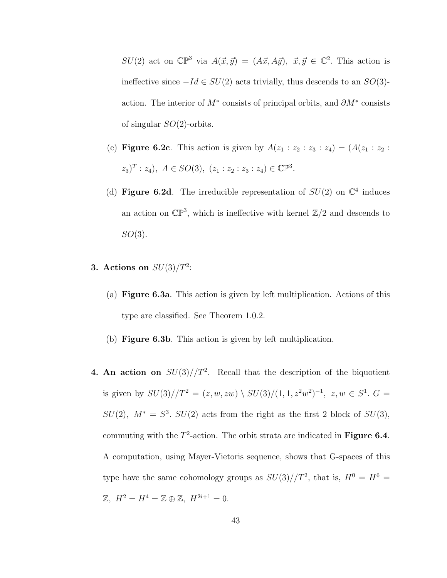$SU(2)$  act on  $\mathbb{CP}^3$  via  $A(\vec{x}, \vec{y}) = (A\vec{x}, A\vec{y}), \ \vec{x}, \vec{y} \in \mathbb{C}^2$ . This action is ineffective since  $-Id \in SU(2)$  acts trivially, thus descends to an  $SO(3)$ action. The interior of  $M^*$  consists of principal orbits, and  $\partial M^*$  consists of singular  $SO(2)$ -orbits.

- (c) **Figure 6.2c**. This action is given by  $A(z_1 : z_2 : z_3 : z_4) = (A(z_1 : z_2 : z_3 : z_4))$  $(z_3)^T : z_4$ ,  $A \in SO(3)$ ,  $(z_1 : z_2 : z_3 : z_4) \in \mathbb{CP}^3$ .
- (d) Figure 6.2d. The irreducible representation of  $SU(2)$  on  $\mathbb{C}^4$  induces an action on  $\mathbb{CP}^3$ , which is ineffective with kernel  $\mathbb{Z}/2$  and descends to  $SO(3)$ .
- 3. Actions on  $SU(3)/T^2$ :
	- (a) Figure 6.3a. This action is given by left multiplication. Actions of this type are classified. See Theorem 1.0.2.
	- (b) Figure 6.3b. This action is given by left multiplication.
- 4. An action on  $SU(3)/T^2$ . Recall that the description of the biquotient is given by  $SU(3)/T^2 = (z, w, zw) \setminus SU(3)/(1, 1, z^2w^2)^{-1}, z, w \in S^1$ .  $G =$  $SU(2)$ ,  $M^* = S^3$ .  $SU(2)$  acts from the right as the first 2 block of  $SU(3)$ , commuting with the  $T^2$ -action. The orbit strata are indicated in Figure 6.4. A computation, using Mayer-Vietoris sequence, shows that G-spaces of this type have the same cohomology groups as  $SU(3)/T^2$ , that is,  $H^0 = H^6 =$  $\mathbb{Z}, H^2 = H^4 = \mathbb{Z} \oplus \mathbb{Z}, H^{2i+1} = 0.$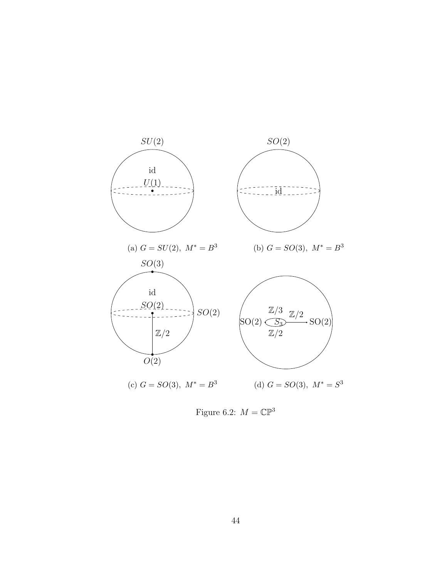

Figure 6.2:  $M = \mathbb{CP}^3$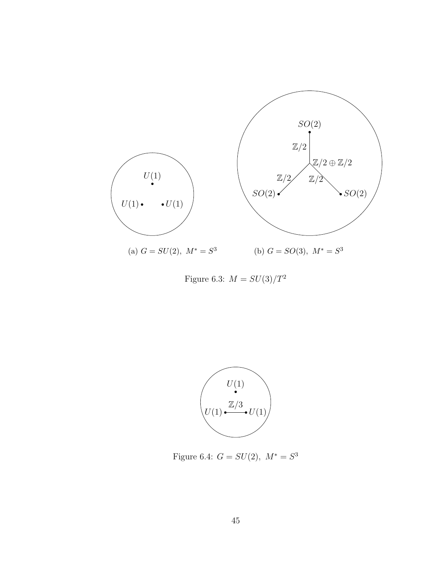

Figure 6.3:  $M=SU(3)/T^2$ 



Figure 6.4:  $G = SU(2), M^* = S^3$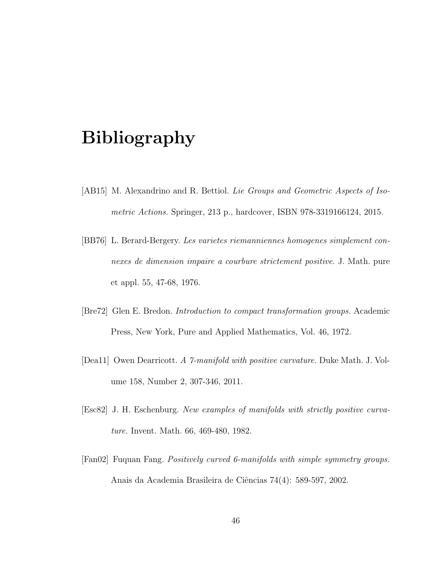## Bibliography

- [AB15] M. Alexandrino and R. Bettiol. Lie Groups and Geometric Aspects of Isometric Actions. Springer, 213 p., hardcover, ISBN 978-3319166124, 2015.
- [BB76] L. Berard-Bergery. Les varietes riemanniennes homogenes simplement connexes de dimension impaire a courbure strictement positive. J. Math. pure et appl. 55, 47-68, 1976.
- [Bre72] Glen E. Bredon. Introduction to compact transformation groups. Academic Press, New York, Pure and Applied Mathematics, Vol. 46, 1972.
- [Dea11] Owen Dearricott. A 7-manifold with positive curvature. Duke Math. J. Volume 158, Number 2, 307-346, 2011.
- [Esc82] J. H. Eschenburg. New examples of manifolds with strictly positive curvature. Invent. Math. 66, 469-480, 1982.
- [Fan02] Fuquan Fang. Positively curved 6-manifolds with simple symmetry groups. Anais da Academia Brasileira de Ciências 74(4): 589-597, 2002.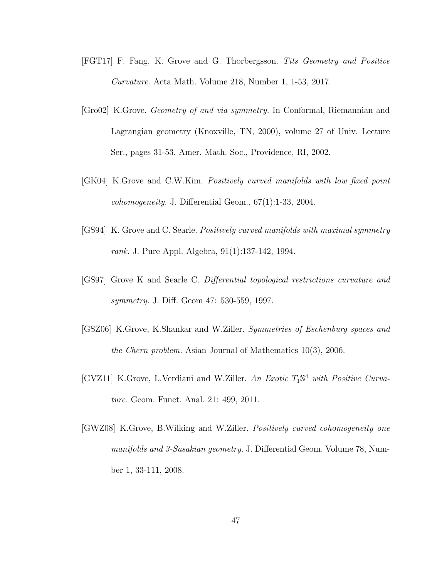- [FGT17] F. Fang, K. Grove and G. Thorbergsson. Tits Geometry and Positive Curvature. Acta Math. Volume 218, Number 1, 1-53, 2017.
- [Gro02] K.Grove. Geometry of and via symmetry. In Conformal, Riemannian and Lagrangian geometry (Knoxville, TN, 2000), volume 27 of Univ. Lecture Ser., pages 31-53. Amer. Math. Soc., Providence, RI, 2002.
- [GK04] K.Grove and C.W.Kim. Positively curved manifolds with low fixed point  $cohomogeneity$ . J. Differential Geom.,  $67(1)$ :1-33, 2004.
- [GS94] K. Grove and C. Searle. Positively curved manifolds with maximal symmetry rank. J. Pure Appl. Algebra, 91(1):137-142, 1994.
- [GS97] Grove K and Searle C. Differential topological restrictions curvature and symmetry. J. Diff. Geom 47: 530-559, 1997.
- [GSZ06] K.Grove, K.Shankar and W.Ziller. Symmetries of Eschenburg spaces and the Chern problem. Asian Journal of Mathematics 10(3), 2006.
- [GVZ11] K.Grove, L.Verdiani and W.Ziller. An Exotic T<sub>1</sub>S<sup>4</sup> with Positive Curvature. Geom. Funct. Anal. 21: 499, 2011.
- [GWZ08] K.Grove, B.Wilking and W.Ziller. Positively curved cohomogeneity one manifolds and 3-Sasakian geometry. J. Differential Geom. Volume 78, Number 1, 33-111, 2008.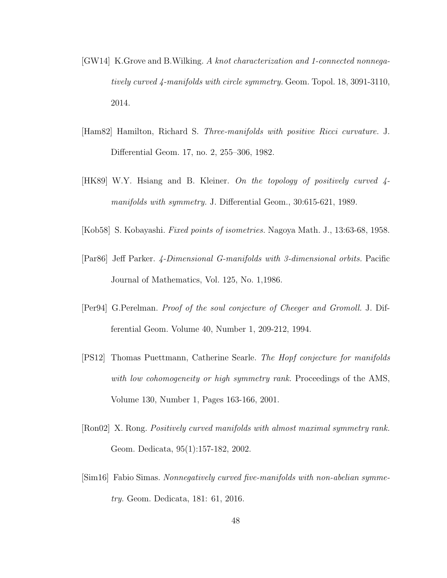- [GW14] K.Grove and B.Wilking. A knot characterization and 1-connected nonnegatively curved 4-manifolds with circle symmetry. Geom. Topol. 18, 3091-3110, 2014.
- [Ham82] Hamilton, Richard S. Three-manifolds with positive Ricci curvature. J. Differential Geom. 17, no. 2, 255–306, 1982.
- [HK89] W.Y. Hsiang and B. Kleiner. On the topology of positively curved 4 manifolds with symmetry. J. Differential Geom., 30:615-621, 1989.
- [Kob58] S. Kobayashi. Fixed points of isometries. Nagoya Math. J., 13:63-68, 1958.
- [Par86] Jeff Parker. 4-Dimensional G-manifolds with 3-dimensional orbits. Pacific Journal of Mathematics, Vol. 125, No. 1,1986.
- [Per94] G.Perelman. Proof of the soul conjecture of Cheeger and Gromoll. J. Differential Geom. Volume 40, Number 1, 209-212, 1994.
- [PS12] Thomas Puettmann, Catherine Searle. The Hopf conjecture for manifolds with low cohomogeneity or high symmetry rank. Proceedings of the AMS, Volume 130, Number 1, Pages 163-166, 2001.
- [Ron02] X. Rong. Positively curved manifolds with almost maximal symmetry rank. Geom. Dedicata, 95(1):157-182, 2002.
- [Sim16] Fabio Simas. Nonnegatively curved five-manifolds with non-abelian symmetry. Geom. Dedicata, 181: 61, 2016.